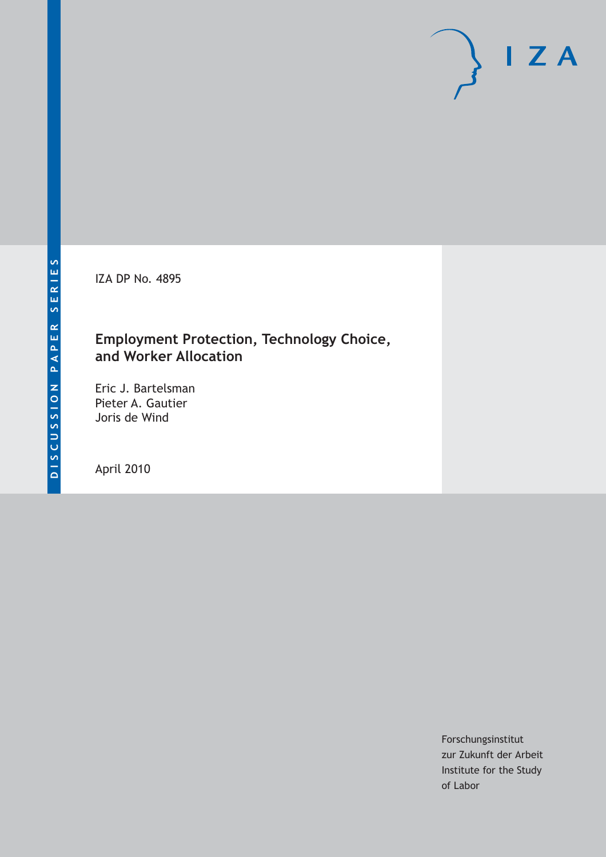IZA DP No. 4895

# **Employment Protection, Technology Choice, and Worker Allocation**

Eric J. Bartelsman Pieter A. Gautier Joris de Wind

April 2010

Forschungsinstitut zur Zukunft der Arbeit Institute for the Study of Labor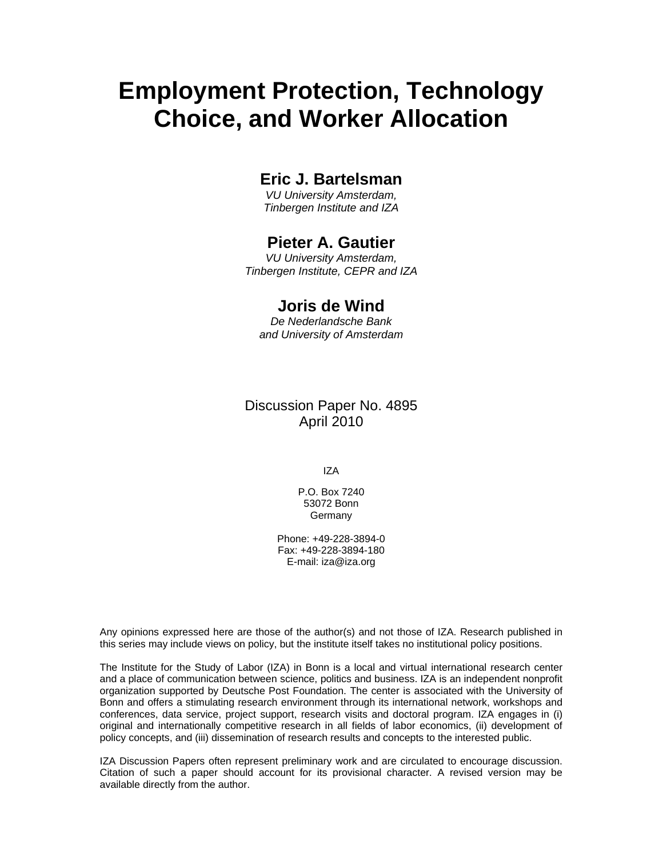# **Employment Protection, Technology Choice, and Worker Allocation**

# **Eric J. Bartelsman**

*VU University Amsterdam, Tinbergen Institute and IZA* 

# **Pieter A. Gautier**

*VU University Amsterdam, Tinbergen Institute, CEPR and IZA* 

# **Joris de Wind**

*De Nederlandsche Bank and University of Amsterdam* 

## Discussion Paper No. 4895 April 2010

IZA

P.O. Box 7240 53072 Bonn Germany

Phone: +49-228-3894-0 Fax: +49-228-3894-180 E-mail: iza@iza.org

Any opinions expressed here are those of the author(s) and not those of IZA. Research published in this series may include views on policy, but the institute itself takes no institutional policy positions.

The Institute for the Study of Labor (IZA) in Bonn is a local and virtual international research center and a place of communication between science, politics and business. IZA is an independent nonprofit organization supported by Deutsche Post Foundation. The center is associated with the University of Bonn and offers a stimulating research environment through its international network, workshops and conferences, data service, project support, research visits and doctoral program. IZA engages in (i) original and internationally competitive research in all fields of labor economics, (ii) development of policy concepts, and (iii) dissemination of research results and concepts to the interested public.

IZA Discussion Papers often represent preliminary work and are circulated to encourage discussion. Citation of such a paper should account for its provisional character. A revised version may be available directly from the author.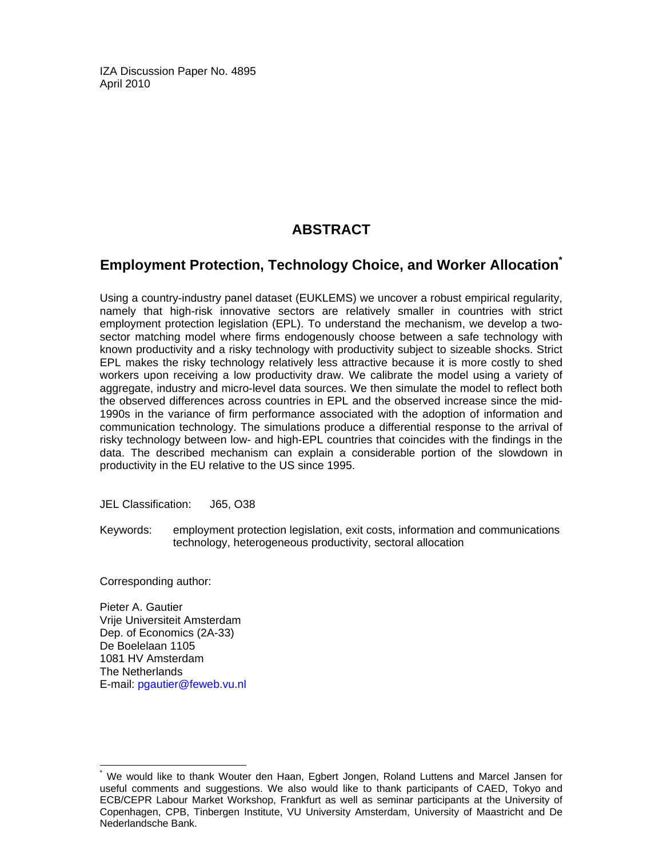IZA Discussion Paper No. 4895 April 2010

# **ABSTRACT**

# **Employment Protection, Technology Choice, and Worker Allocation\***

Using a country-industry panel dataset (EUKLEMS) we uncover a robust empirical regularity, namely that high-risk innovative sectors are relatively smaller in countries with strict employment protection legislation (EPL). To understand the mechanism, we develop a twosector matching model where firms endogenously choose between a safe technology with known productivity and a risky technology with productivity subject to sizeable shocks. Strict EPL makes the risky technology relatively less attractive because it is more costly to shed workers upon receiving a low productivity draw. We calibrate the model using a variety of aggregate, industry and micro-level data sources. We then simulate the model to reflect both the observed differences across countries in EPL and the observed increase since the mid-1990s in the variance of firm performance associated with the adoption of information and communication technology. The simulations produce a differential response to the arrival of risky technology between low- and high-EPL countries that coincides with the findings in the data. The described mechanism can explain a considerable portion of the slowdown in productivity in the EU relative to the US since 1995.

JEL Classification: J65, O38

Keywords: employment protection legislation, exit costs, information and communications technology, heterogeneous productivity, sectoral allocation

Corresponding author:

-

Pieter A. Gautier Vrije Universiteit Amsterdam Dep. of Economics (2A-33) De Boelelaan 1105 1081 HV Amsterdam The Netherlands E-mail: pgautier@feweb.vu.nl

<sup>\*</sup> We would like to thank Wouter den Haan, Egbert Jongen, Roland Luttens and Marcel Jansen for useful comments and suggestions. We also would like to thank participants of CAED, Tokyo and ECB/CEPR Labour Market Workshop, Frankfurt as well as seminar participants at the University of Copenhagen, CPB, Tinbergen Institute, VU University Amsterdam, University of Maastricht and De Nederlandsche Bank.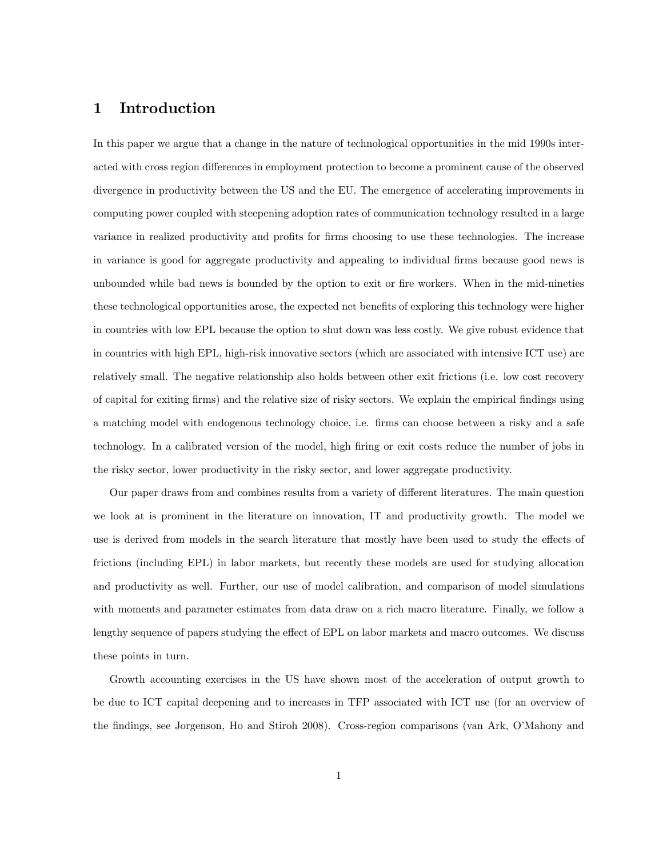### 1 Introduction

In this paper we argue that a change in the nature of technological opportunities in the mid 1990s interacted with cross region differences in employment protection to become a prominent cause of the observed divergence in productivity between the US and the EU. The emergence of accelerating improvements in computing power coupled with steepening adoption rates of communication technology resulted in a large variance in realized productivity and profits for firms choosing to use these technologies. The increase in variance is good for aggregate productivity and appealing to individual firms because good news is unbounded while bad news is bounded by the option to exit or fire workers. When in the mid-nineties these technological opportunities arose, the expected net benefits of exploring this technology were higher in countries with low EPL because the option to shut down was less costly. We give robust evidence that in countries with high EPL, high-risk innovative sectors (which are associated with intensive ICT use) are relatively small. The negative relationship also holds between other exit frictions (i.e. low cost recovery of capital for exiting Örms) and the relative size of risky sectors. We explain the empirical Öndings using a matching model with endogenous technology choice, i.e. firms can choose between a risky and a safe technology. In a calibrated version of the model, high firing or exit costs reduce the number of jobs in the risky sector, lower productivity in the risky sector, and lower aggregate productivity.

Our paper draws from and combines results from a variety of different literatures. The main question we look at is prominent in the literature on innovation, IT and productivity growth. The model we use is derived from models in the search literature that mostly have been used to study the effects of frictions (including EPL) in labor markets, but recently these models are used for studying allocation and productivity as well. Further, our use of model calibration, and comparison of model simulations with moments and parameter estimates from data draw on a rich macro literature. Finally, we follow a lengthy sequence of papers studying the effect of EPL on labor markets and macro outcomes. We discuss these points in turn.

Growth accounting exercises in the US have shown most of the acceleration of output growth to be due to ICT capital deepening and to increases in TFP associated with ICT use (for an overview of the findings, see Jorgenson, Ho and Stiroh 2008). Cross-region comparisons (van Ark, O'Mahony and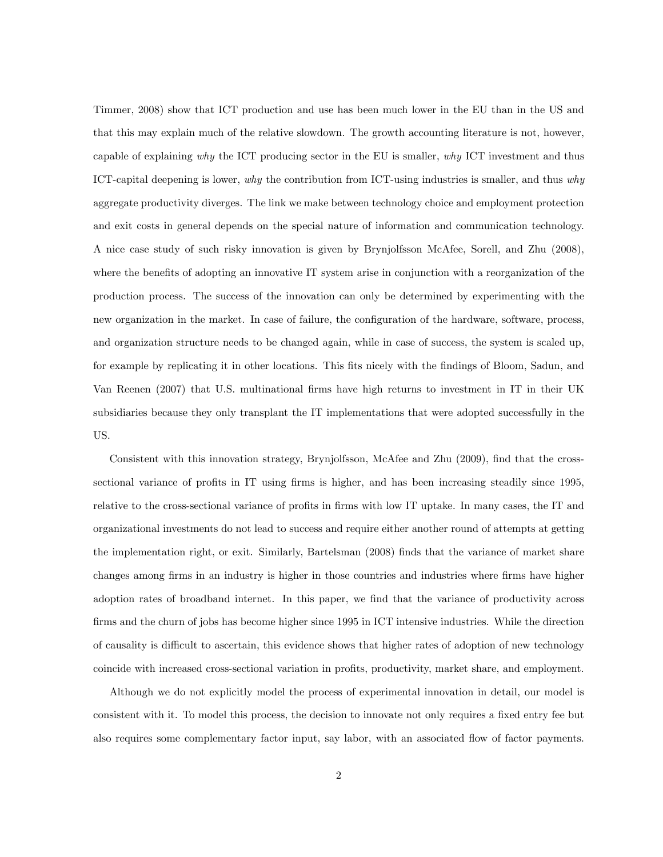Timmer, 2008) show that ICT production and use has been much lower in the EU than in the US and that this may explain much of the relative slowdown. The growth accounting literature is not, however, capable of explaining why the ICT producing sector in the EU is smaller, why ICT investment and thus ICT-capital deepening is lower, why the contribution from ICT-using industries is smaller, and thus why aggregate productivity diverges. The link we make between technology choice and employment protection and exit costs in general depends on the special nature of information and communication technology. A nice case study of such risky innovation is given by Brynjolfsson McAfee, Sorell, and Zhu (2008), where the benefits of adopting an innovative IT system arise in conjunction with a reorganization of the production process. The success of the innovation can only be determined by experimenting with the new organization in the market. In case of failure, the configuration of the hardware, software, process, and organization structure needs to be changed again, while in case of success, the system is scaled up, for example by replicating it in other locations. This fits nicely with the findings of Bloom, Sadun, and Van Reenen (2007) that U.S. multinational Örms have high returns to investment in IT in their UK subsidiaries because they only transplant the IT implementations that were adopted successfully in the US.

Consistent with this innovation strategy, Brynjolfsson, McAfee and Zhu (2009), find that the crosssectional variance of profits in IT using firms is higher, and has been increasing steadily since 1995, relative to the cross-sectional variance of profits in firms with low IT uptake. In many cases, the IT and organizational investments do not lead to success and require either another round of attempts at getting the implementation right, or exit. Similarly, Bartelsman (2008) Önds that the variance of market share changes among firms in an industry is higher in those countries and industries where firms have higher adoption rates of broadband internet. In this paper, we find that the variance of productivity across firms and the churn of jobs has become higher since 1995 in ICT intensive industries. While the direction of causality is difficult to ascertain, this evidence shows that higher rates of adoption of new technology coincide with increased cross-sectional variation in profits, productivity, market share, and employment.

Although we do not explicitly model the process of experimental innovation in detail, our model is consistent with it. To model this process, the decision to innovate not only requires a fixed entry fee but also requires some complementary factor input, say labor, with an associated áow of factor payments.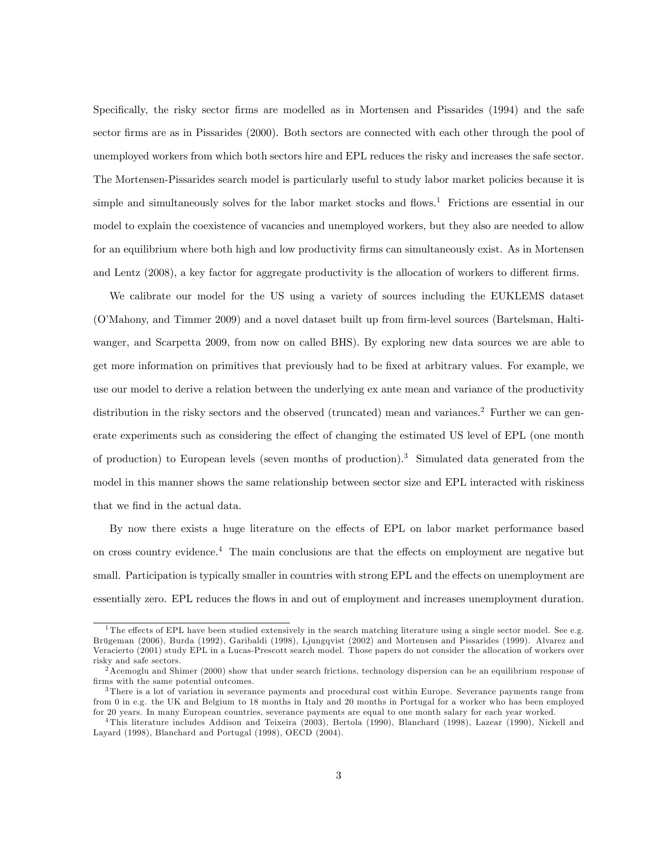Specifically, the risky sector firms are modelled as in Mortensen and Pissarides (1994) and the safe sector firms are as in Pissarides (2000). Both sectors are connected with each other through the pool of unemployed workers from which both sectors hire and EPL reduces the risky and increases the safe sector. The Mortensen-Pissarides search model is particularly useful to study labor market policies because it is simple and simultaneously solves for the labor market stocks and flows.<sup>1</sup> Frictions are essential in our model to explain the coexistence of vacancies and unemployed workers, but they also are needed to allow for an equilibrium where both high and low productivity firms can simultaneously exist. As in Mortensen and Lentz (2008), a key factor for aggregate productivity is the allocation of workers to different firms.

We calibrate our model for the US using a variety of sources including the EUKLEMS dataset (O'Mahony, and Timmer 2009) and a novel dataset built up from firm-level sources (Bartelsman, Haltiwanger, and Scarpetta 2009, from now on called BHS). By exploring new data sources we are able to get more information on primitives that previously had to be fixed at arbitrary values. For example, we use our model to derive a relation between the underlying ex ante mean and variance of the productivity distribution in the risky sectors and the observed (truncated) mean and variances.<sup>2</sup> Further we can generate experiments such as considering the effect of changing the estimated US level of EPL (one month of production) to European levels (seven months of production).<sup>3</sup> Simulated data generated from the model in this manner shows the same relationship between sector size and EPL interacted with riskiness that we find in the actual data.

By now there exists a huge literature on the effects of EPL on labor market performance based on cross country evidence.<sup>4</sup> The main conclusions are that the effects on employment are negative but small. Participation is typically smaller in countries with strong EPL and the effects on unemployment are essentially zero. EPL reduces the áows in and out of employment and increases unemployment duration.

 $\overline{1}$ The effects of EPL have been studied extensively in the search matching literature using a single sector model. See e.g. Brügeman (2006), Burda (1992), Garibaldi (1998), Ljungqvist (2002) and Mortensen and Pissarides (1999). Alvarez and Veracierto (2001) study EPL in a Lucas-Prescott search model. Those papers do not consider the allocation of workers over risky and safe sectors.

 $2$ Acemoglu and Shimer (2000) show that under search frictions, technology dispersion can be an equilibrium response of firms with the same potential outcomes.

 $3$ There is a lot of variation in severance payments and procedural cost within Europe. Severance payments range from from 0 in e.g. the UK and Belgium to 18 months in Italy and 20 months in Portugal for a worker who has been employed for 20 years. In many European countries, severance payments are equal to one month salary for each year worked.

<sup>4</sup> This literature includes Addison and Teixeira (2003), Bertola (1990), Blanchard (1998), Lazear (1990), Nickell and Layard (1998), Blanchard and Portugal (1998), OECD (2004).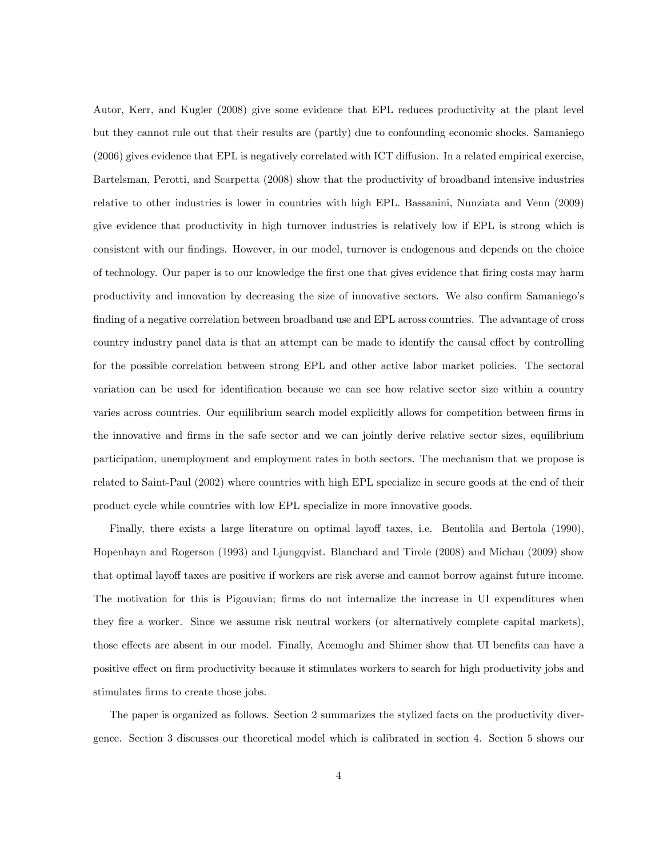Autor, Kerr, and Kugler (2008) give some evidence that EPL reduces productivity at the plant level but they cannot rule out that their results are (partly) due to confounding economic shocks. Samaniego  $(2006)$  gives evidence that EPL is negatively correlated with ICT diffusion. In a related empirical exercise, Bartelsman, Perotti, and Scarpetta (2008) show that the productivity of broadband intensive industries relative to other industries is lower in countries with high EPL. Bassanini, Nunziata and Venn (2009) give evidence that productivity in high turnover industries is relatively low if EPL is strong which is consistent with our findings. However, in our model, turnover is endogenous and depends on the choice of technology. Our paper is to our knowledge the first one that gives evidence that firing costs may harm productivity and innovation by decreasing the size of innovative sectors. We also confirm Samaniego's finding of a negative correlation between broadband use and EPL across countries. The advantage of cross country industry panel data is that an attempt can be made to identify the causal effect by controlling for the possible correlation between strong EPL and other active labor market policies. The sectoral variation can be used for identification because we can see how relative sector size within a country varies across countries. Our equilibrium search model explicitly allows for competition between firms in the innovative and Örms in the safe sector and we can jointly derive relative sector sizes, equilibrium participation, unemployment and employment rates in both sectors. The mechanism that we propose is related to Saint-Paul (2002) where countries with high EPL specialize in secure goods at the end of their product cycle while countries with low EPL specialize in more innovative goods.

Finally, there exists a large literature on optimal layoff taxes, i.e. Bentolila and Bertola (1990), Hopenhayn and Rogerson (1993) and Ljungqvist. Blanchard and Tirole (2008) and Michau (2009) show that optimal layoff taxes are positive if workers are risk averse and cannot borrow against future income. The motivation for this is Pigouvian; firms do not internalize the increase in UI expenditures when they Öre a worker. Since we assume risk neutral workers (or alternatively complete capital markets), those effects are absent in our model. Finally, Acemoglu and Shimer show that UI benefits can have a positive effect on firm productivity because it stimulates workers to search for high productivity jobs and stimulates firms to create those jobs.

The paper is organized as follows. Section 2 summarizes the stylized facts on the productivity divergence. Section 3 discusses our theoretical model which is calibrated in section 4. Section 5 shows our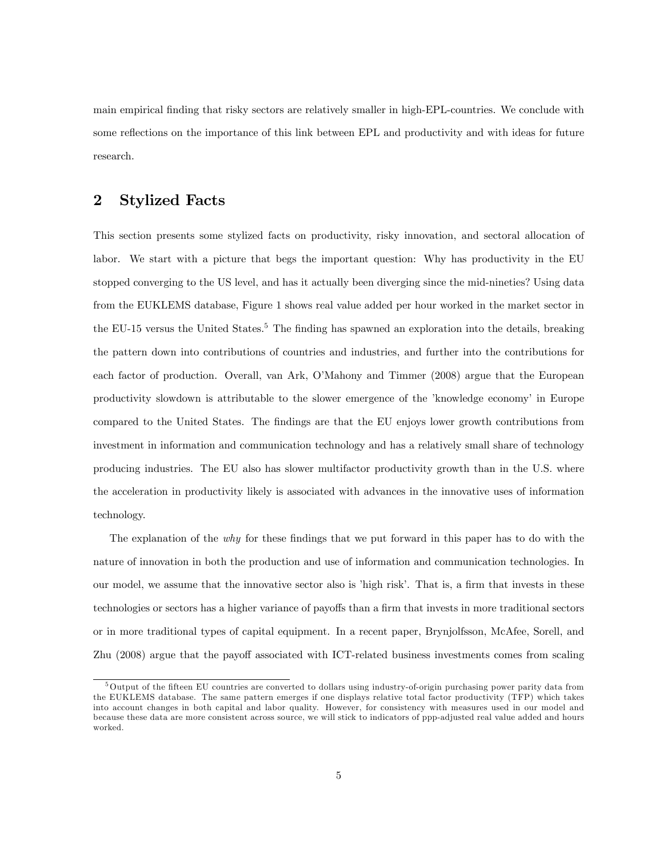main empirical Önding that risky sectors are relatively smaller in high-EPL-countries. We conclude with some reflections on the importance of this link between EPL and productivity and with ideas for future research.

### 2 Stylized Facts

This section presents some stylized facts on productivity, risky innovation, and sectoral allocation of labor. We start with a picture that begs the important question: Why has productivity in the EU stopped converging to the US level, and has it actually been diverging since the mid-nineties? Using data from the EUKLEMS database, Figure 1 shows real value added per hour worked in the market sector in the EU-15 versus the United States.<sup>5</sup> The finding has spawned an exploration into the details, breaking the pattern down into contributions of countries and industries, and further into the contributions for each factor of production. Overall, van Ark, O'Mahony and Timmer (2008) argue that the European productivity slowdown is attributable to the slower emergence of the 'knowledge economy' in Europe compared to the United States. The findings are that the EU enjoys lower growth contributions from investment in information and communication technology and has a relatively small share of technology producing industries. The EU also has slower multifactor productivity growth than in the U.S. where the acceleration in productivity likely is associated with advances in the innovative uses of information technology.

The explanation of the *why* for these findings that we put forward in this paper has to do with the nature of innovation in both the production and use of information and communication technologies. In our model, we assume that the innovative sector also is 'high risk'. That is, a firm that invests in these technologies or sectors has a higher variance of payoffs than a firm that invests in more traditional sectors or in more traditional types of capital equipment. In a recent paper, Brynjolfsson, McAfee, Sorell, and Zhu (2008) argue that the payoff associated with ICT-related business investments comes from scaling

<sup>&</sup>lt;sup>5</sup>Output of the fifteen EU countries are converted to dollars using industry-of-origin purchasing power parity data from the EUKLEMS database. The same pattern emerges if one displays relative total factor productivity (TFP) which takes into account changes in both capital and labor quality. However, for consistency with measures used in our model and because these data are more consistent across source, we will stick to indicators of ppp-adjusted real value added and hours worked.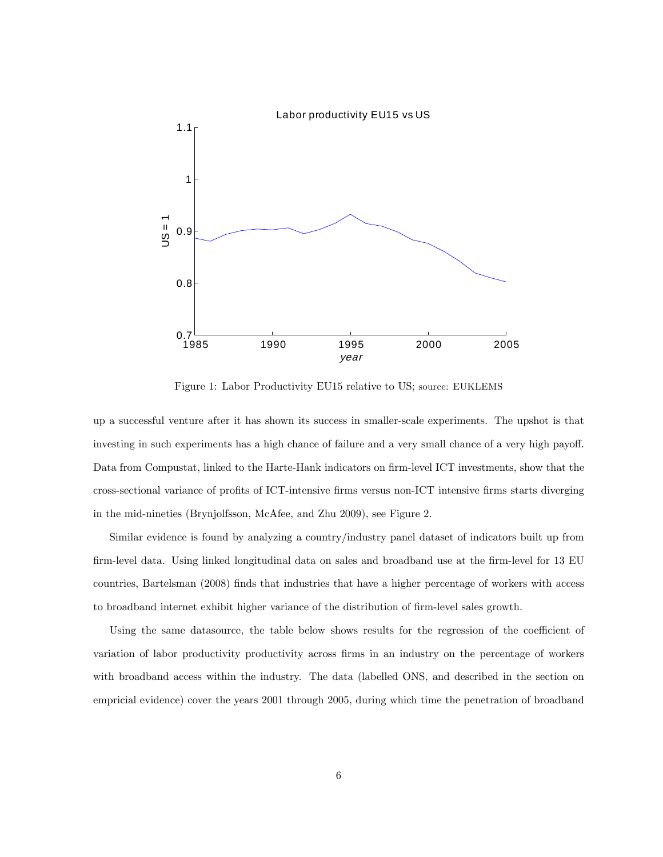

Figure 1: Labor Productivity EU15 relative to US; source: EUKLEMS

up a successful venture after it has shown its success in smaller-scale experiments. The upshot is that investing in such experiments has a high chance of failure and a very small chance of a very high payoff. Data from Compustat, linked to the Harte-Hank indicators on firm-level ICT investments, show that the cross-sectional variance of profits of ICT-intensive firms versus non-ICT intensive firms starts diverging in the mid-nineties (Brynjolfsson, McAfee, and Zhu 2009), see Figure 2.

Similar evidence is found by analyzing a country/industry panel dataset of indicators built up from firm-level data. Using linked longitudinal data on sales and broadband use at the firm-level for 13 EU countries, Bartelsman (2008) finds that industries that have a higher percentage of workers with access to broadband internet exhibit higher variance of the distribution of firm-level sales growth.

Using the same datasource, the table below shows results for the regression of the coefficient of variation of labor productivity productivity across firms in an industry on the percentage of workers with broadband access within the industry. The data (labelled ONS, and described in the section on empricial evidence) cover the years 2001 through 2005, during which time the penetration of broadband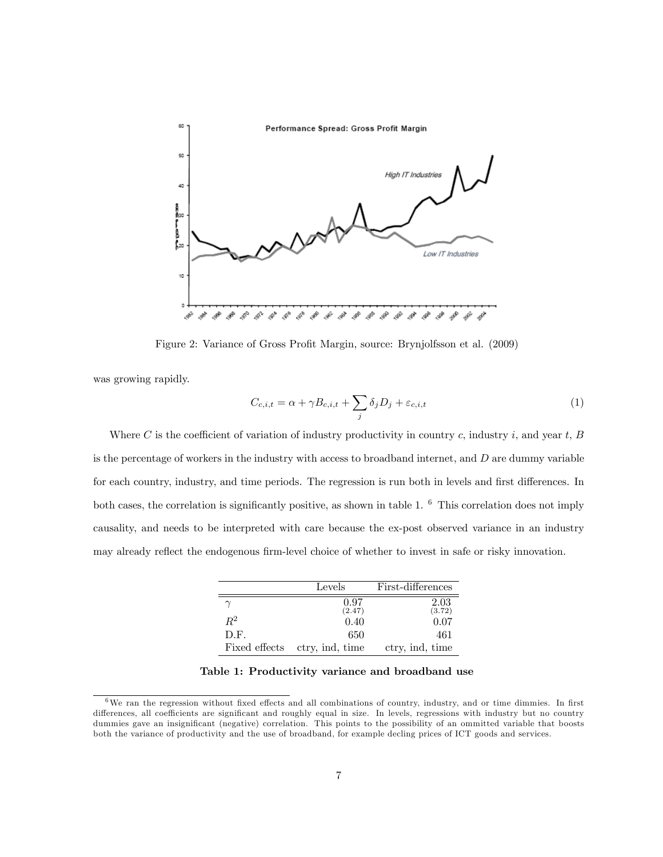

Figure 2: Variance of Gross Profit Margin, source: Brynjolfsson et al. (2009)

was growing rapidly.

$$
C_{c,i,t} = \alpha + \gamma B_{c,i,t} + \sum_{j} \delta_j D_j + \varepsilon_{c,i,t}
$$
\n<sup>(1)</sup>

Where C is the coefficient of variation of industry productivity in country c, industry i, and year t,  $B$ is the percentage of workers in the industry with access to broadband internet, and  $D$  are dummy variable for each country, industry, and time periods. The regression is run both in levels and first differences. In both cases, the correlation is significantly positive, as shown in table 1.  $<sup>6</sup>$  This correlation does not imply</sup> causality, and needs to be interpreted with care because the ex-post observed variance in an industry may already reflect the endogenous firm-level choice of whether to invest in safe or risky innovation.

|               | Levels          | First-differences |
|---------------|-----------------|-------------------|
| $\gamma$      | 0.97<br>(2.47)  | 2.03<br>(3.72)    |
| $R^2$         | 0.40            | 0.07              |
| D.F.          | 650             | 461               |
| Fixed effects | ctry, ind, time | ctry, ind, time   |

Table 1: Productivity variance and broadband use

 $6\text{We ran the regression without fixed effects and all combinations of country, industry, and or time dimmies. In first$ differences, all coefficients are significant and roughly equal in size. In levels, regressions with industry but no country dummies gave an insignificant (negative) correlation. This points to the possibility of an ommitted variable that boosts both the variance of productivity and the use of broadband, for example decling prices of ICT goods and services.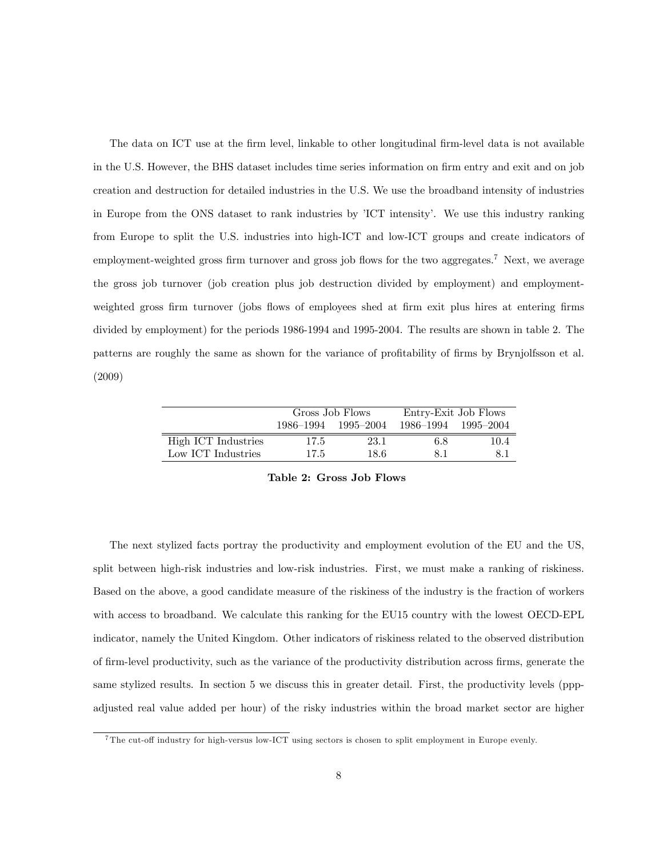The data on ICT use at the firm level, linkable to other longitudinal firm-level data is not available in the U.S. However, the BHS dataset includes time series information on firm entry and exit and on job creation and destruction for detailed industries in the U.S. We use the broadband intensity of industries in Europe from the ONS dataset to rank industries by <sup>'</sup>ICT intensity<sup>'</sup>. We use this industry ranking from Europe to split the U.S. industries into high-ICT and low-ICT groups and create indicators of employment-weighted gross firm turnover and gross job flows for the two aggregates.<sup>7</sup> Next, we average the gross job turnover (job creation plus job destruction divided by employment) and employmentweighted gross firm turnover (jobs flows of employees shed at firm exit plus hires at entering firms divided by employment) for the periods 1986-1994 and 1995-2004. The results are shown in table 2. The patterns are roughly the same as shown for the variance of profitability of firms by Brynjolfsson et al. (2009)

|                     |      | Gross Job Flows     | Entry-Exit Job Flows |      |  |  |
|---------------------|------|---------------------|----------------------|------|--|--|
|                     |      | 1986–1994 1995–2004 | 1986-1994 1995-2004  |      |  |  |
| High ICT Industries | 17.5 | 23.1                | 6.8                  | 10.4 |  |  |
| Low ICT Industries  | 17.5 | 18.6                | 81                   | 8.1  |  |  |

Table 2: Gross Job Flows

The next stylized facts portray the productivity and employment evolution of the EU and the US, split between high-risk industries and low-risk industries. First, we must make a ranking of riskiness. Based on the above, a good candidate measure of the riskiness of the industry is the fraction of workers with access to broadband. We calculate this ranking for the EU15 country with the lowest OECD-EPL indicator, namely the United Kingdom. Other indicators of riskiness related to the observed distribution of Örm-level productivity, such as the variance of the productivity distribution across Örms, generate the same stylized results. In section 5 we discuss this in greater detail. First, the productivity levels (pppadjusted real value added per hour) of the risky industries within the broad market sector are higher

 $7$ The cut-off industry for high-versus low-ICT using sectors is chosen to split employment in Europe evenly.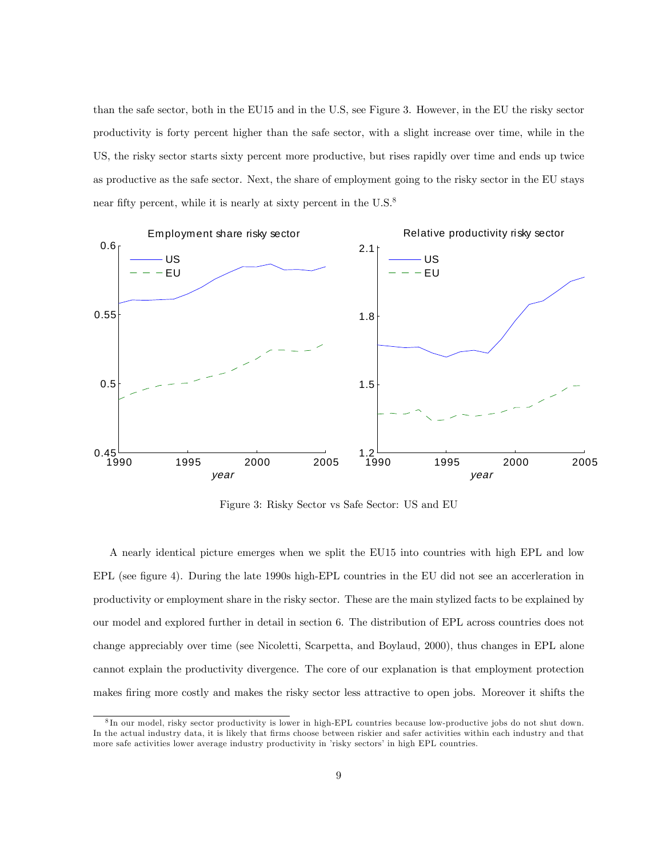than the safe sector, both in the EU15 and in the U.S, see Figure 3. However, in the EU the risky sector productivity is forty percent higher than the safe sector, with a slight increase over time, while in the US, the risky sector starts sixty percent more productive, but rises rapidly over time and ends up twice as productive as the safe sector. Next, the share of employment going to the risky sector in the EU stays near fifty percent, while it is nearly at sixty percent in the  $U.S.^8$ 



Figure 3: Risky Sector vs Safe Sector: US and EU

A nearly identical picture emerges when we split the EU15 into countries with high EPL and low EPL (see figure 4). During the late 1990s high-EPL countries in the EU did not see an accerleration in productivity or employment share in the risky sector. These are the main stylized facts to be explained by our model and explored further in detail in section 6. The distribution of EPL across countries does not change appreciably over time (see Nicoletti, Scarpetta, and Boylaud, 2000), thus changes in EPL alone cannot explain the productivity divergence. The core of our explanation is that employment protection makes firing more costly and makes the risky sector less attractive to open jobs. Moreover it shifts the

<sup>8</sup> In our model, risky sector productivity is lower in high-EPL countries because low-productive jobs do not shut down. In the actual industry data, it is likely that firms choose between riskier and safer activities within each industry and that more safe activities lower average industry productivity in 'risky sectors' in high EPL countries.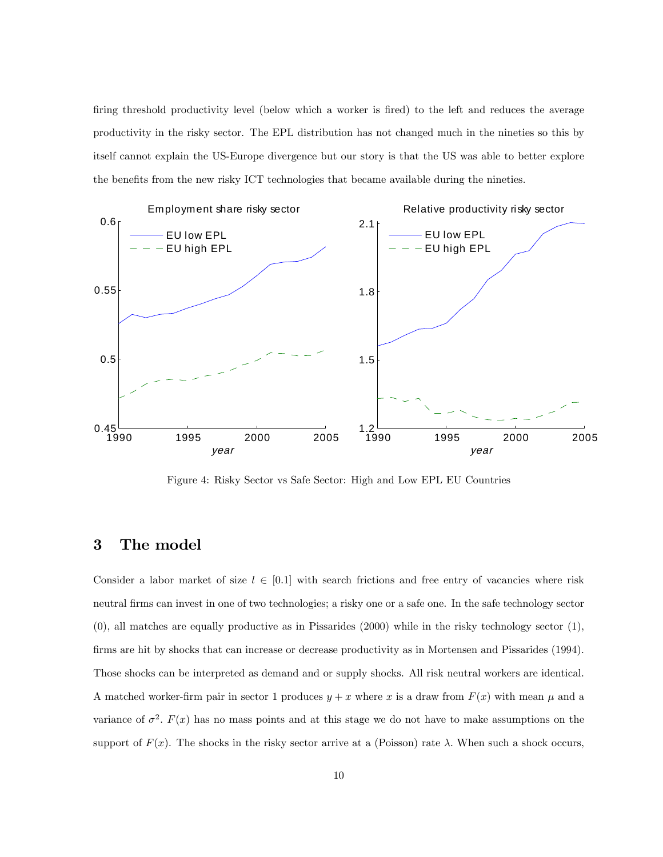firing threshold productivity level (below which a worker is fired) to the left and reduces the average productivity in the risky sector. The EPL distribution has not changed much in the nineties so this by itself cannot explain the US-Europe divergence but our story is that the US was able to better explore the benefits from the new risky ICT technologies that became available during the nineties.



Figure 4: Risky Sector vs Safe Sector: High and Low EPL EU Countries

### 3 The model

Consider a labor market of size  $l \in [0,1]$  with search frictions and free entry of vacancies where risk neutral firms can invest in one of two technologies; a risky one or a safe one. In the safe technology sector (0), all matches are equally productive as in Pissarides (2000) while in the risky technology sector (1), firms are hit by shocks that can increase or decrease productivity as in Mortensen and Pissarides (1994). Those shocks can be interpreted as demand and or supply shocks. All risk neutral workers are identical. A matched worker-firm pair in sector 1 produces  $y + x$  where x is a draw from  $F(x)$  with mean  $\mu$  and a variance of  $\sigma^2$ .  $F(x)$  has no mass points and at this stage we do not have to make assumptions on the support of  $F(x)$ . The shocks in the risky sector arrive at a (Poisson) rate  $\lambda$ . When such a shock occurs,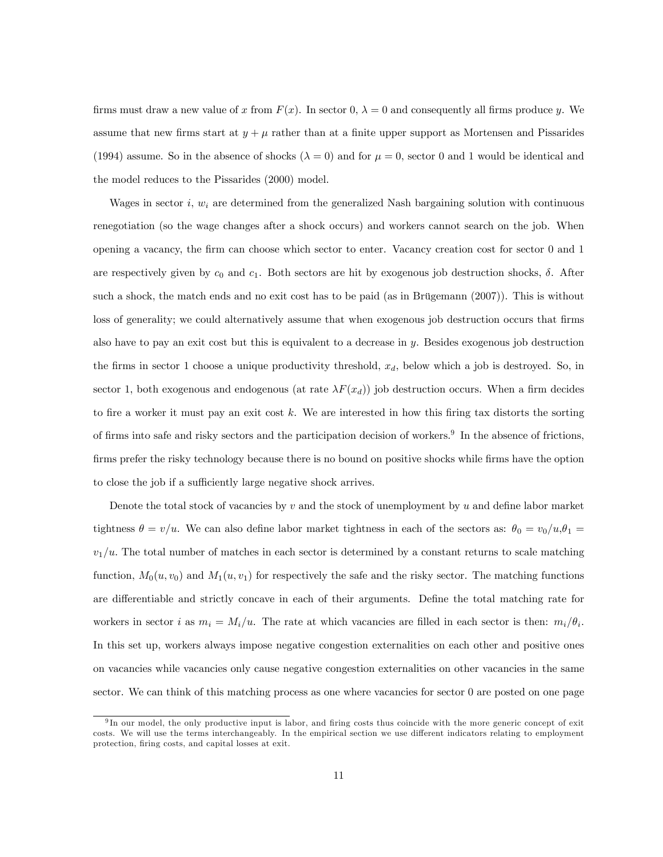firms must draw a new value of x from  $F(x)$ . In sector  $0, \lambda = 0$  and consequently all firms produce y. We assume that new firms start at  $y + \mu$  rather than at a finite upper support as Mortensen and Pissarides (1994) assume. So in the absence of shocks ( $\lambda = 0$ ) and for  $\mu = 0$ , sector 0 and 1 would be identical and the model reduces to the Pissarides (2000) model.

Wages in sector i,  $w_i$  are determined from the generalized Nash bargaining solution with continuous renegotiation (so the wage changes after a shock occurs) and workers cannot search on the job. When opening a vacancy, the Örm can choose which sector to enter. Vacancy creation cost for sector 0 and 1 are respectively given by  $c_0$  and  $c_1$ . Both sectors are hit by exogenous job destruction shocks,  $\delta$ . After such a shock, the match ends and no exit cost has to be paid (as in Brügemann  $(2007)$ ). This is without loss of generality; we could alternatively assume that when exogenous job destruction occurs that firms also have to pay an exit cost but this is equivalent to a decrease in  $\gamma$ . Besides exogenous job destruction the firms in sector 1 choose a unique productivity threshold,  $x_d$ , below which a job is destroyed. So, in sector 1, both exogenous and endogenous (at rate  $\lambda F(x_d)$ ) job destruction occurs. When a firm decides to fire a worker it must pay an exit cost k. We are interested in how this firing tax distorts the sorting of firms into safe and risky sectors and the participation decision of workers.<sup>9</sup> In the absence of frictions, firms prefer the risky technology because there is no bound on positive shocks while firms have the option to close the job if a sufficiently large negative shock arrives.

Denote the total stock of vacancies by  $v$  and the stock of unemployment by  $u$  and define labor market tightness  $\theta = v/u$ . We can also define labor market tightness in each of the sectors as:  $\theta_0 = v_0/u, \theta_1 =$  $v_1/u$ . The total number of matches in each sector is determined by a constant returns to scale matching function,  $M_0(u, v_0)$  and  $M_1(u, v_1)$  for respectively the safe and the risky sector. The matching functions are differentiable and strictly concave in each of their arguments. Define the total matching rate for workers in sector *i* as  $m_i = M_i/u$ . The rate at which vacancies are filled in each sector is then:  $m_i/\theta_i$ . In this set up, workers always impose negative congestion externalities on each other and positive ones on vacancies while vacancies only cause negative congestion externalities on other vacancies in the same sector. We can think of this matching process as one where vacancies for sector 0 are posted on one page

<sup>&</sup>lt;sup>9</sup>In our model, the only productive input is labor, and firing costs thus coincide with the more generic concept of exit costs. We will use the terms interchangeably. In the empirical section we use different indicators relating to employment protection, firing costs, and capital losses at exit.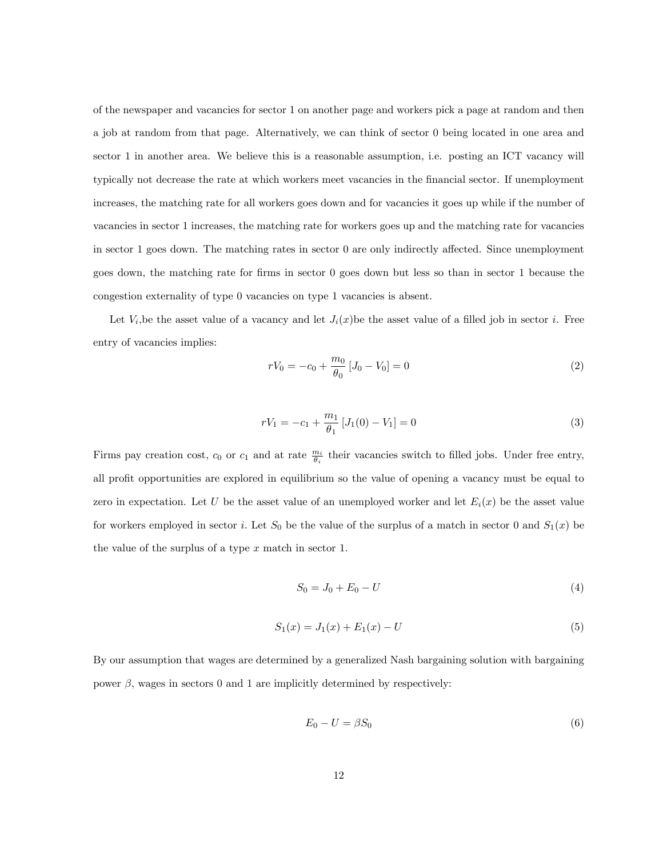of the newspaper and vacancies for sector 1 on another page and workers pick a page at random and then a job at random from that page. Alternatively, we can think of sector 0 being located in one area and sector 1 in another area. We believe this is a reasonable assumption, i.e. posting an ICT vacancy will typically not decrease the rate at which workers meet vacancies in the financial sector. If unemployment increases, the matching rate for all workers goes down and for vacancies it goes up while if the number of vacancies in sector 1 increases, the matching rate for workers goes up and the matching rate for vacancies in sector  $1$  goes down. The matching rates in sector  $0$  are only indirectly affected. Since unemployment goes down, the matching rate for Örms in sector 0 goes down but less so than in sector 1 because the congestion externality of type 0 vacancies on type 1 vacancies is absent.

Let  $V_i$ , be the asset value of a vacancy and let  $J_i(x)$  be the asset value of a filled job in sector i. Free entry of vacancies implies:

$$
rV_0 = -c_0 + \frac{m_0}{\theta_0} [J_0 - V_0] = 0
$$
\n(2)

$$
rV_1 = -c_1 + \frac{m_1}{\theta_1} \left[ J_1(0) - V_1 \right] = 0 \tag{3}
$$

Firms pay creation cost,  $c_0$  or  $c_1$  and at rate  $\frac{m_i}{\theta_i}$  their vacancies switch to filled jobs. Under free entry, all profit opportunities are explored in equilibrium so the value of opening a vacancy must be equal to zero in expectation. Let U be the asset value of an unemployed worker and let  $E_i(x)$  be the asset value for workers employed in sector *i*. Let  $S_0$  be the value of the surplus of a match in sector 0 and  $S_1(x)$  be the value of the surplus of a type  $x$  match in sector 1.

$$
S_0 = J_0 + E_0 - U \tag{4}
$$

$$
S_1(x) = J_1(x) + E_1(x) - U \tag{5}
$$

By our assumption that wages are determined by a generalized Nash bargaining solution with bargaining power  $\beta$ , wages in sectors 0 and 1 are implicitly determined by respectively:

$$
E_0 - U = \beta S_0 \tag{6}
$$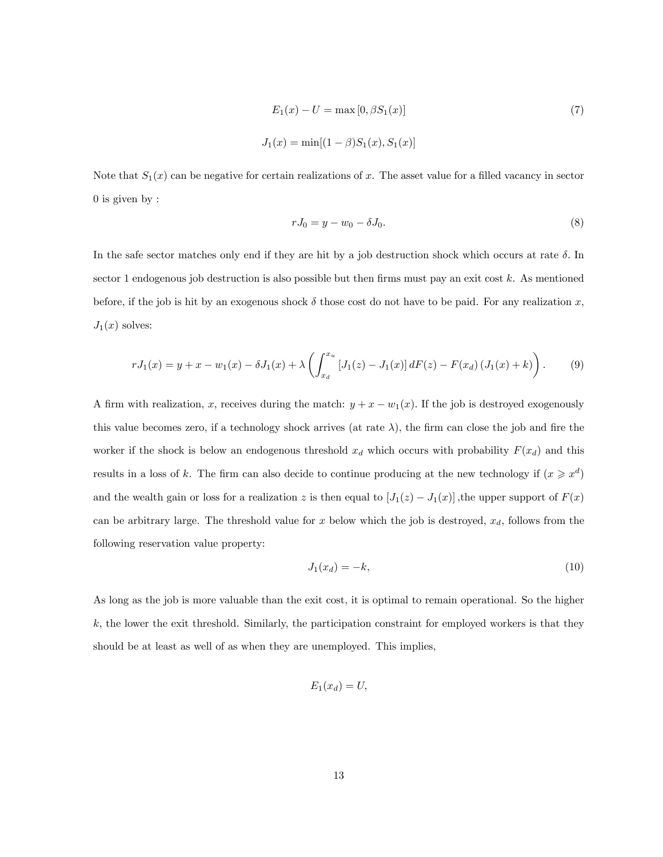$$
E_1(x) - U = \max[0, \beta S_1(x)]
$$
\n
$$
J_1(x) = \min[(1 - \beta)S_1(x), S_1(x)]
$$
\n(7)

Note that  $S_1(x)$  can be negative for certain realizations of x. The asset value for a filled vacancy in sector 0 is given by :

$$
rJ_0 = y - w_0 - \delta J_0. \tag{8}
$$

In the safe sector matches only end if they are hit by a job destruction shock which occurs at rate  $\delta$ . In sector 1 endogenous job destruction is also possible but then firms must pay an exit cost  $k$ . As mentioned before, if the job is hit by an exogenous shock  $\delta$  those cost do not have to be paid. For any realization x,  $J_1(x)$  solves:

$$
rJ_1(x) = y + x - w_1(x) - \delta J_1(x) + \lambda \left( \int_{x_d}^{x_u} \left[ J_1(z) - J_1(x) \right] dF(z) - F(x_d) \left( J_1(x) + k \right) \right). \tag{9}
$$

A firm with realization, x, receives during the match:  $y + x - w_1(x)$ . If the job is destroyed exogenously this value becomes zero, if a technology shock arrives (at rate  $\lambda$ ), the firm can close the job and fire the worker if the shock is below an endogenous threshold  $x_d$  which occurs with probability  $F(x_d)$  and this results in a loss of k. The firm can also decide to continue producing at the new technology if  $(x \geq x^d)$ and the wealth gain or loss for a realization z is then equal to  $[J_1(z) - J_1(x)]$ , the upper support of  $F(x)$ can be arbitrary large. The threshold value for x below which the job is destroyed,  $x_d$ , follows from the following reservation value property:

$$
J_1(x_d) = -k,\t\t(10)
$$

As long as the job is more valuable than the exit cost, it is optimal to remain operational. So the higher  $k$ , the lower the exit threshold. Similarly, the participation constraint for employed workers is that they should be at least as well of as when they are unemployed. This implies,

$$
E_1(x_d) = U,
$$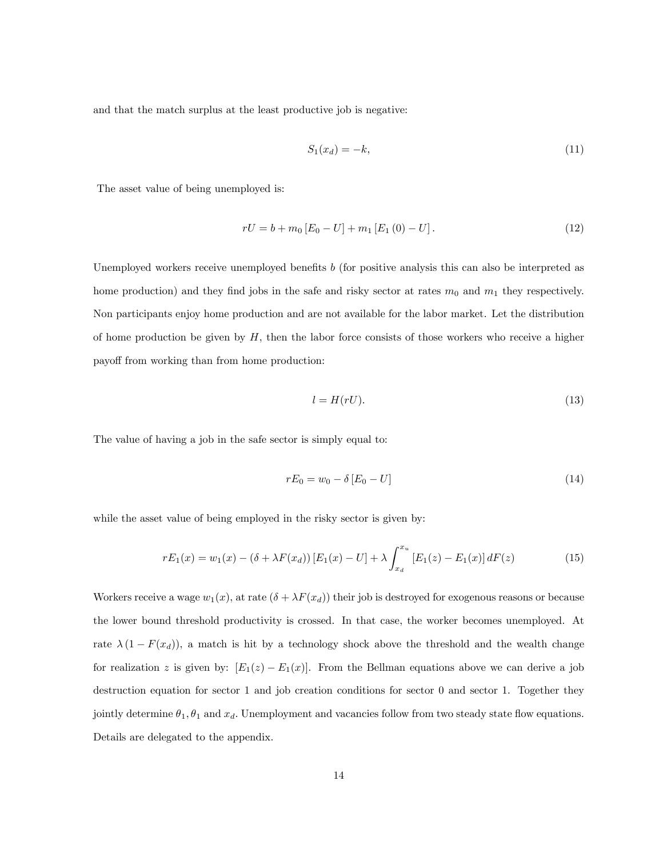and that the match surplus at the least productive job is negative:

$$
S_1(x_d) = -k,\t\t(11)
$$

The asset value of being unemployed is:

$$
rU = b + m_0 [E_0 - U] + m_1 [E_1 (0) - U]. \tag{12}
$$

Unemployed workers receive unemployed benefits  $b$  (for positive analysis this can also be interpreted as home production) and they find jobs in the safe and risky sector at rates  $m_0$  and  $m_1$  they respectively. Non participants enjoy home production and are not available for the labor market. Let the distribution of home production be given by  $H$ , then the labor force consists of those workers who receive a higher payoff from working than from home production:

$$
l = H(rU). \tag{13}
$$

The value of having a job in the safe sector is simply equal to:

$$
rE_0 = w_0 - \delta [E_0 - U]
$$
\n(14)

while the asset value of being employed in the risky sector is given by:

$$
rE_1(x) = w_1(x) - (\delta + \lambda F(x_d)) [E_1(x) - U] + \lambda \int_{x_d}^{x_u} [E_1(z) - E_1(x)] dF(z)
$$
 (15)

Workers receive a wage  $w_1(x)$ , at rate  $(\delta + \lambda F(x_d))$  their job is destroyed for exogenous reasons or because the lower bound threshold productivity is crossed. In that case, the worker becomes unemployed. At rate  $\lambda (1 - F(x_d))$ , a match is hit by a technology shock above the threshold and the wealth change for realization z is given by:  $[E_1(z) - E_1(x)]$ . From the Bellman equations above we can derive a job destruction equation for sector 1 and job creation conditions for sector 0 and sector 1. Together they jointly determine  $\theta_1$ ,  $\theta_1$  and  $x_d$ . Unemployment and vacancies follow from two steady state flow equations. Details are delegated to the appendix.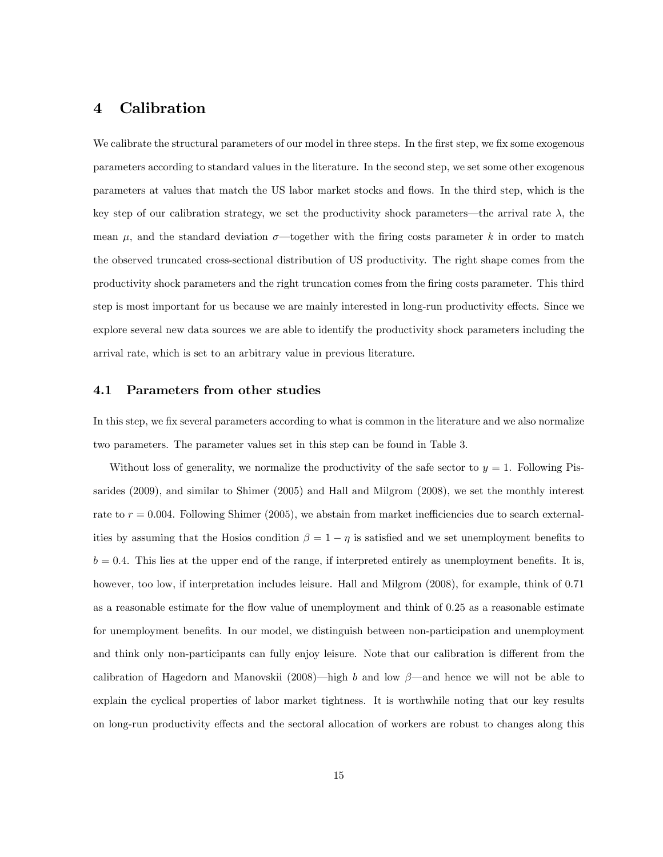### 4 Calibration

We calibrate the structural parameters of our model in three steps. In the first step, we fix some exogenous parameters according to standard values in the literature. In the second step, we set some other exogenous parameters at values that match the US labor market stocks and flows. In the third step, which is the key step of our calibration strategy, we set the productivity shock parameters—the arrival rate  $\lambda$ , the mean  $\mu$ , and the standard deviation  $\sigma$ —together with the firing costs parameter k in order to match the observed truncated cross-sectional distribution of US productivity. The right shape comes from the productivity shock parameters and the right truncation comes from the Öring costs parameter. This third step is most important for us because we are mainly interested in long-run productivity effects. Since we explore several new data sources we are able to identify the productivity shock parameters including the arrival rate, which is set to an arbitrary value in previous literature.

#### 4.1 Parameters from other studies

In this step, we fix several parameters according to what is common in the literature and we also normalize two parameters. The parameter values set in this step can be found in Table 3.

Without loss of generality, we normalize the productivity of the safe sector to  $y = 1$ . Following Pissarides (2009), and similar to Shimer (2005) and Hall and Milgrom (2008), we set the monthly interest rate to  $r = 0.004$ . Following Shimer (2005), we abstain from market inefficiencies due to search externalities by assuming that the Hosios condition  $\beta = 1 - \eta$  is satisfied and we set unemployment benefits to  $b = 0.4$ . This lies at the upper end of the range, if interpreted entirely as unemployment benefits. It is, however, too low, if interpretation includes leisure. Hall and Milgrom (2008), for example, think of 0.71 as a reasonable estimate for the flow value of unemployment and think of 0.25 as a reasonable estimate for unemployment benefits. In our model, we distinguish between non-participation and unemployment and think only non-participants can fully enjoy leisure. Note that our calibration is different from the calibration of Hagedorn and Manovskii (2008)—high b and low  $\beta$ —and hence we will not be able to explain the cyclical properties of labor market tightness. It is worthwhile noting that our key results on long-run productivity effects and the sectoral allocation of workers are robust to changes along this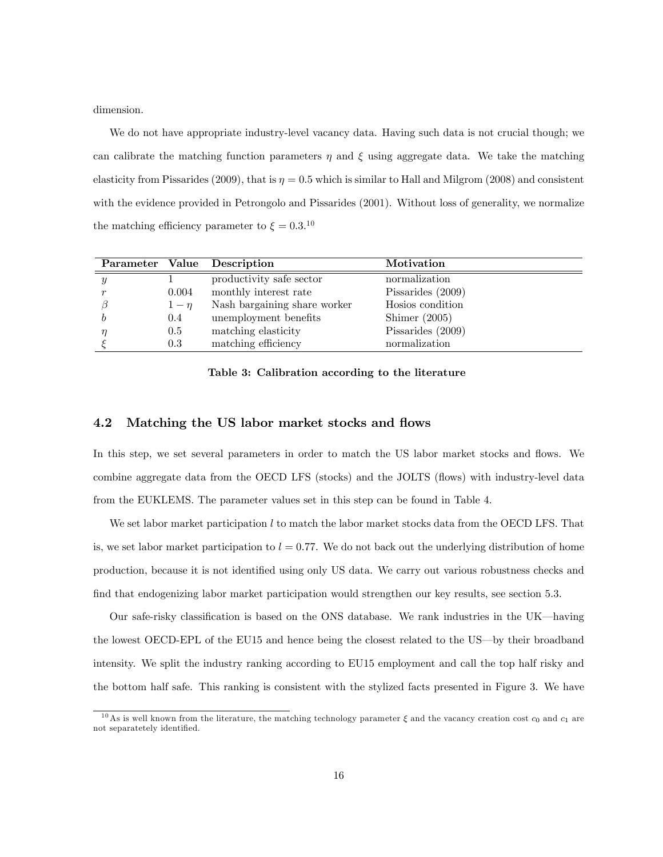dimension.

We do not have appropriate industry-level vacancy data. Having such data is not crucial though; we can calibrate the matching function parameters  $\eta$  and  $\xi$  using aggregate data. We take the matching elasticity from Pissarides (2009), that is  $\eta = 0.5$  which is similar to Hall and Milgrom (2008) and consistent with the evidence provided in Petrongolo and Pissarides (2001). Without loss of generality, we normalize the matching efficiency parameter to  $\xi = 0.3$ <sup>10</sup>

|   |          | Parameter Value Description  | Motivation          |
|---|----------|------------------------------|---------------------|
| Y |          | productivity safe sector     | normalization       |
|   | 0.004    | monthly interest rate        | Pissarides $(2009)$ |
|   | $1-\eta$ | Nash bargaining share worker | Hosios condition    |
|   | 0.4      | unemployment benefits        | Shimer $(2005)$     |
|   | 0.5      | matching elasticity          | Pissarides $(2009)$ |
|   | $0.3\,$  | matching efficiency          | normalization       |

#### Table 3: Calibration according to the literature

#### 4.2 Matching the US labor market stocks and flows

In this step, we set several parameters in order to match the US labor market stocks and flows. We combine aggregate data from the OECD LFS (stocks) and the JOLTS (flows) with industry-level data from the EUKLEMS. The parameter values set in this step can be found in Table 4.

We set labor market participation l to match the labor market stocks data from the OECD LFS. That is, we set labor market participation to  $l = 0.77$ . We do not back out the underlying distribution of home production, because it is not identified using only US data. We carry out various robustness checks and find that endogenizing labor market participation would strengthen our key results, see section 5.3.

Our safe-risky classification is based on the ONS database. We rank industries in the UK—having the lowest OECD-EPL of the EU15 and hence being the closest related to the US-by their broadband intensity. We split the industry ranking according to EU15 employment and call the top half risky and the bottom half safe. This ranking is consistent with the stylized facts presented in Figure 3. We have

<sup>&</sup>lt;sup>10</sup>As is well known from the literature, the matching technology parameter  $\xi$  and the vacancy creation cost  $c_0$  and  $c_1$  are not separatetely identified.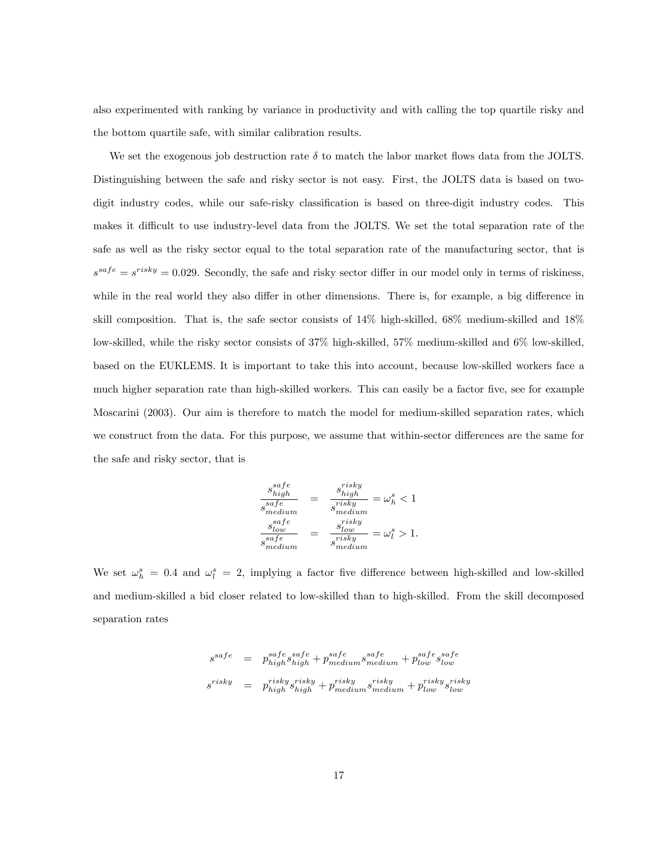also experimented with ranking by variance in productivity and with calling the top quartile risky and the bottom quartile safe, with similar calibration results.

We set the exogenous job destruction rate  $\delta$  to match the labor market flows data from the JOLTS. Distinguishing between the safe and risky sector is not easy. First, the JOLTS data is based on twodigit industry codes, while our safe-risky classification is based on three-digit industry codes. This makes it difficult to use industry-level data from the JOLTS. We set the total separation rate of the safe as well as the risky sector equal to the total separation rate of the manufacturing sector, that is  $s^{safe} = s^{risky} = 0.029$ . Secondly, the safe and risky sector differ in our model only in terms of riskiness, while in the real world they also differ in other dimensions. There is, for example, a big difference in skill composition. That is, the safe sector consists of 14% high-skilled, 68% medium-skilled and 18% low-skilled, while the risky sector consists of 37% high-skilled, 57% medium-skilled and 6% low-skilled, based on the EUKLEMS. It is important to take this into account, because low-skilled workers face a much higher separation rate than high-skilled workers. This can easily be a factor five, see for example Moscarini (2003). Our aim is therefore to match the model for medium-skilled separation rates, which we construct from the data. For this purpose, we assume that within-sector differences are the same for the safe and risky sector, that is

$$
\frac{s_{high}^{safe}}{s_{medium}^{safe}} = \frac{s_{high}^{risky}}{s_{medium}^{risky}} = \omega_h^s < 1
$$
\n
$$
\frac{s_{low}^{safe}}{s_{medium}^{safe}} = \frac{s_{low}^{risky}}{s_{medium}^{risky}} = \omega_l^s > 1.
$$

We set  $\omega_h^s = 0.4$  and  $\omega_l^s = 2$ , implying a factor five difference between high-skilled and low-skilled and medium-skilled a bid closer related to low-skilled than to high-skilled. From the skill decomposed separation rates

$$
\begin{array}{lcl} s^{safe} & = & p_{high}^{safe} s_{high}^{safe} + p_{medium}^{safe} s_{medium}^{safe} + p_{low}^{safe} s_{low}^{safe} \\ s^{risky} & = & p_{high}^{risky} s_{high}^{risky} + p_{medium}^{risky} s_{medium}^{risky} + p_{low}^{risky} s_{low}^{risky} \end{array}
$$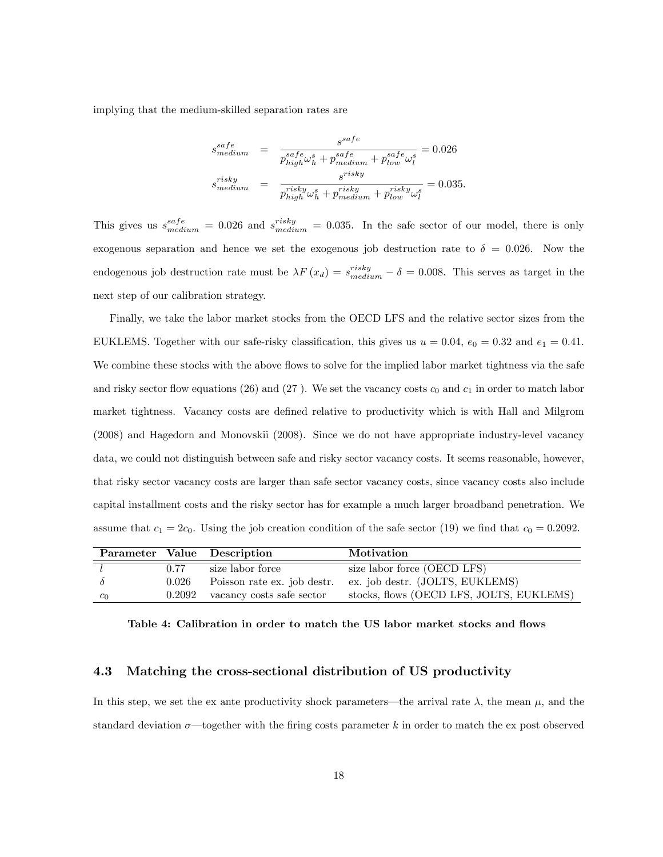implying that the medium-skilled separation rates are

$$
s_{medium}^{safe} = \frac{s^{safe}}{p_{high}^{safe} \omega_h^s + p_{medium}^{safe} + p_{low}^{safe} \omega_l^s} = 0.026
$$
  
\n
$$
s_{medium}^{risky} = \frac{s_{risky}}{p_{high}^{risky} \omega_h^s + p_{medium}^{risky} + p_{low}^{risky} \omega_l^s} = 0.035.
$$

This gives us  $s_{medium}^{safe} = 0.026$  and  $s_{medium}^{risky} = 0.035$ . In the safe sector of our model, there is only exogenous separation and hence we set the exogenous job destruction rate to  $\delta = 0.026$ . Now the endogenous job destruction rate must be  $\lambda F(x_d) = s_{medium}^{risky} - \delta = 0.008$ . This serves as target in the next step of our calibration strategy.

Finally, we take the labor market stocks from the OECD LFS and the relative sector sizes from the EUKLEMS. Together with our safe-risky classification, this gives us  $u = 0.04$ ,  $e_0 = 0.32$  and  $e_1 = 0.41$ . We combine these stocks with the above flows to solve for the implied labor market tightness via the safe and risky sector flow equations (26) and (27). We set the vacancy costs  $c_0$  and  $c_1$  in order to match labor market tightness. Vacancy costs are defined relative to productivity which is with Hall and Milgrom (2008) and Hagedorn and Monovskii (2008). Since we do not have appropriate industry-level vacancy data, we could not distinguish between safe and risky sector vacancy costs. It seems reasonable, however, that risky sector vacancy costs are larger than safe sector vacancy costs, since vacancy costs also include capital installment costs and the risky sector has for example a much larger broadband penetration. We assume that  $c_1 = 2c_0$ . Using the job creation condition of the safe sector (19) we find that  $c_0 = 0.2092$ .

|       |       | Parameter Value Description        | Motivation                               |
|-------|-------|------------------------------------|------------------------------------------|
|       | 0.77  | size labor force                   | size labor force (OECD LFS)              |
|       | 0.026 | Poisson rate ex. job destr.        | ex. job destr. (JOLTS, EUKLEMS)          |
| $c_0$ |       | $0.2092$ vacancy costs safe sector | stocks, flows (OECD LFS, JOLTS, EUKLEMS) |

Table 4: Calibration in order to match the US labor market stocks and flows

### 4.3 Matching the cross-sectional distribution of US productivity

In this step, we set the ex ante productivity shock parameters—the arrival rate  $\lambda$ , the mean  $\mu$ , and the standard deviation  $\sigma$ —together with the firing costs parameter k in order to match the ex post observed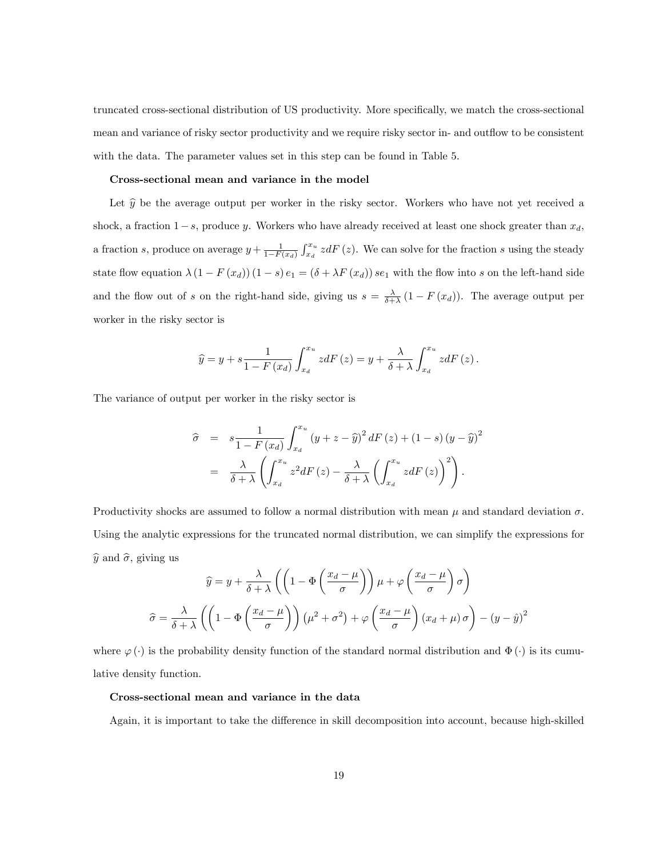truncated cross-sectional distribution of US productivity. More specifically, we match the cross-sectional mean and variance of risky sector productivity and we require risky sector in- and outflow to be consistent with the data. The parameter values set in this step can be found in Table 5.

#### Cross-sectional mean and variance in the model

Let  $\hat{y}$  be the average output per worker in the risky sector. Workers who have not yet received a shock, a fraction  $1-s$ , produce y. Workers who have already received at least one shock greater than  $x_d$ , a fraction s, produce on average  $y + \frac{1}{1-F(x_d)} \int_{x_d}^{x_u} z dF(z)$ . We can solve for the fraction s using the steady state flow equation  $\lambda(1 - F(x_d))(1 - s) e_1 = (\delta + \lambda F(x_d)) s e_1$  with the flow into s on the left-hand side and the flow out of s on the right-hand side, giving us  $s = \frac{\lambda}{\delta + \lambda} (1 - F(x_d))$ . The average output per worker in the risky sector is

$$
\widehat{y} = y + s \frac{1}{1 - F(x_d)} \int_{x_d}^{x_u} z dF(z) = y + \frac{\lambda}{\delta + \lambda} \int_{x_d}^{x_u} z dF(z).
$$

The variance of output per worker in the risky sector is

$$
\hat{\sigma} = s \frac{1}{1 - F(x_d)} \int_{x_d}^{x_u} (y + z - \hat{y})^2 dF(z) + (1 - s)(y - \hat{y})^2
$$

$$
= \frac{\lambda}{\delta + \lambda} \left( \int_{x_d}^{x_u} z^2 dF(z) - \frac{\lambda}{\delta + \lambda} \left( \int_{x_d}^{x_u} z dF(z) \right)^2 \right).
$$

Productivity shocks are assumed to follow a normal distribution with mean  $\mu$  and standard deviation  $\sigma$ . Using the analytic expressions for the truncated normal distribution, we can simplify the expressions for  $\hat{y}$  and  $\hat{\sigma}$ , giving us

$$
\hat{y} = y + \frac{\lambda}{\delta + \lambda} \left( \left( 1 - \Phi \left( \frac{x_d - \mu}{\sigma} \right) \right) \mu + \varphi \left( \frac{x_d - \mu}{\sigma} \right) \sigma \right)
$$

$$
\hat{\sigma} = \frac{\lambda}{\delta + \lambda} \left( \left( 1 - \Phi \left( \frac{x_d - \mu}{\sigma} \right) \right) \left( \mu^2 + \sigma^2 \right) + \varphi \left( \frac{x_d - \mu}{\sigma} \right) \left( x_d + \mu \right) \sigma \right) - \left( y - \hat{y} \right)^2
$$

where  $\varphi(\cdot)$  is the probability density function of the standard normal distribution and  $\Phi(\cdot)$  is its cumulative density function.

#### Cross-sectional mean and variance in the data

Again, it is important to take the difference in skill decomposition into account, because high-skilled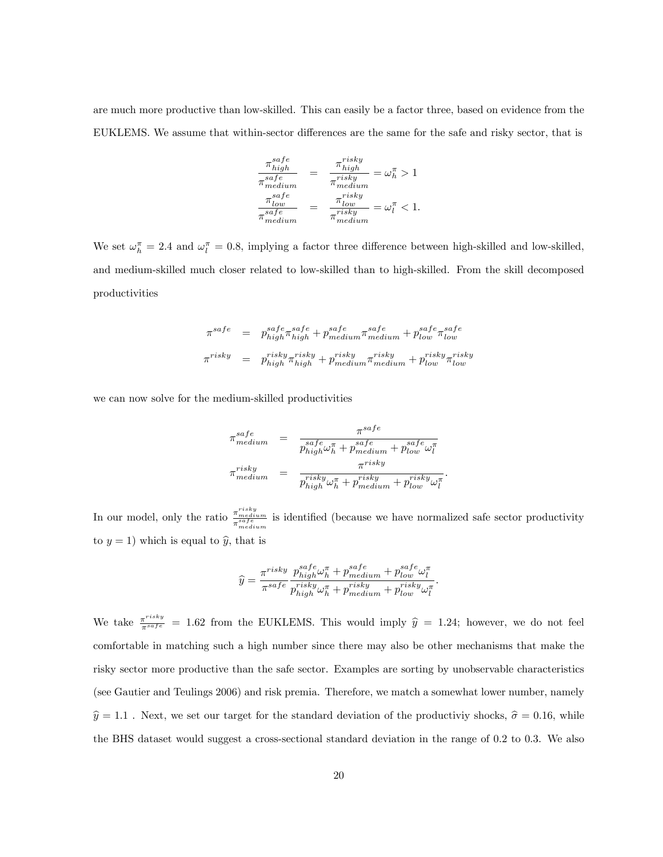are much more productive than low-skilled. This can easily be a factor three, based on evidence from the EUKLEMS. We assume that within-sector differences are the same for the safe and risky sector, that is

$$
\frac{\pi_{high}^{safe}}{\pi_{medium}^{safe}} = \frac{\pi_{high}^{risky}}{\pi_{medium}^{risky}} = \omega_h^{\pi} > 1
$$
\n
$$
\frac{\pi_{low}^{safe}}{\pi_{medium}^{size}} = \frac{\pi_{low}^{risky}}{\pi_{medium}^{risky}} = \omega_l^{\pi} < 1.
$$

We set  $\omega_h^{\pi} = 2.4$  and  $\omega_l^{\pi} = 0.8$ , implying a factor three difference between high-skilled and low-skilled, and medium-skilled much closer related to low-skilled than to high-skilled. From the skill decomposed productivities

$$
\begin{array}{rcl} \pi^{safe} & = & p_{high}^{safe} \pi_{high}^{safe} + p_{medium}^{safe} \pi_{medium}^{safe} + p_{low}^{safe} \pi_{low}^{safe} \\ \pi^{risky} & = & p_{high}^{risky} \pi_{high}^{risky} + p_{medium}^{risky} \pi_{medium}^{risky} + p_{low}^{risky} \pi_{low}^{risky} \end{array}
$$

we can now solve for the medium-skilled productivities

$$
\begin{array}{lcl} \pi^{safe}_{medium} & = & \frac{\pi^{safe}}{p^{safe}_{high}\omega^{ \pi}_h + p^{safe}_{medium} + p^{safe}_{low}\omega^{ \pi}_l} \\ \pi^{risky}_{medium} & = & \frac{\pi^{risky}}{p^{risky}_{high}\omega^{ \pi}_h + p^{risky}_{medium} + p^{risky}_{low}\omega^{ \pi}_l}. \end{array}
$$

In our model, only the ratio  $\frac{\pi_{medium}^{risk} }{\pi_{medium}^{self}}$  is identified (because we have normalized safe sector productivity to  $y = 1$ ) which is equal to  $\hat{y}$ , that is

$$
\widehat{y} = \frac{\pi^{risky}}{\pi^{safe}} \frac{p_{high}^{safe}\omega_h^{\pi} + p_{medium}^{safe} + p_{low}^{safe}\omega_l^{\pi}}{p_{high}^{risky}\omega_h^{\pi} + p_{medium}^{risky} + p_{low}^{risky}\omega_l^{\pi}}.
$$

We take  $\frac{\pi^{risk}y}{\pi^{safe}} = 1.62$  from the EUKLEMS. This would imply  $\hat{y} = 1.24$ ; however, we do not feel comfortable in matching such a high number since there may also be other mechanisms that make the risky sector more productive than the safe sector. Examples are sorting by unobservable characteristics (see Gautier and Teulings 2006) and risk premia. Therefore, we match a somewhat lower number, namely  $\hat{y} = 1.1$ . Next, we set our target for the standard deviation of the productiviy shocks,  $\hat{\sigma} = 0.16$ , while the BHS dataset would suggest a cross-sectional standard deviation in the range of 0:2 to 0:3. We also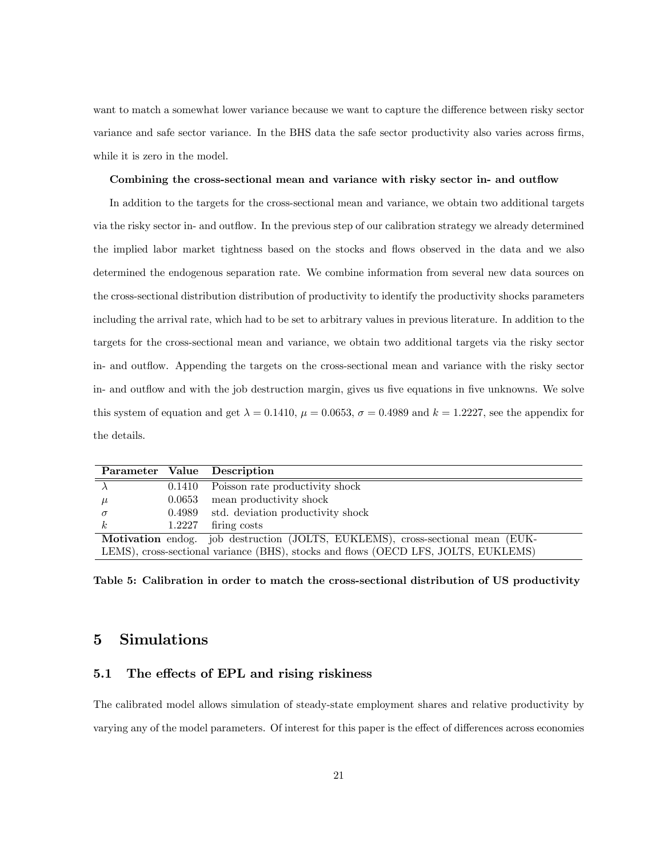want to match a somewhat lower variance because we want to capture the difference between risky sector variance and safe sector variance. In the BHS data the safe sector productivity also varies across firms, while it is zero in the model.

#### Combining the cross-sectional mean and variance with risky sector in- and outflow

In addition to the targets for the cross-sectional mean and variance, we obtain two additional targets via the risky sector in- and outflow. In the previous step of our calibration strategy we already determined the implied labor market tightness based on the stocks and flows observed in the data and we also determined the endogenous separation rate. We combine information from several new data sources on the cross-sectional distribution distribution of productivity to identify the productivity shocks parameters including the arrival rate, which had to be set to arbitrary values in previous literature. In addition to the targets for the cross-sectional mean and variance, we obtain two additional targets via the risky sector in- and outflow. Appending the targets on the cross-sectional mean and variance with the risky sector in- and outflow and with the job destruction margin, gives us five equations in five unknowns. We solve this system of equation and get  $\lambda = 0.1410$ ,  $\mu = 0.0653$ ,  $\sigma = 0.4989$  and  $k = 1.2227$ , see the appendix for the details.

|          | Parameter Value Description                                                        |
|----------|------------------------------------------------------------------------------------|
|          | 0.1410 Poisson rate productivity shock                                             |
| $\mu$    | $0.0653$ mean productivity shock                                                   |
| $\sigma$ | 0.4989 std. deviation productivity shock                                           |
|          | $1.2227$ firing costs                                                              |
|          | Motivation endog. job destruction (JOLTS, EUKLEMS), cross-sectional mean (EUK-     |
|          | LEMS), cross-sectional variance (BHS), stocks and flows (OECD LFS, JOLTS, EUKLEMS) |

Table 5: Calibration in order to match the cross-sectional distribution of US productivity

# 5 Simulations

#### 5.1 The effects of EPL and rising riskiness

The calibrated model allows simulation of steady-state employment shares and relative productivity by varying any of the model parameters. Of interest for this paper is the effect of differences across economies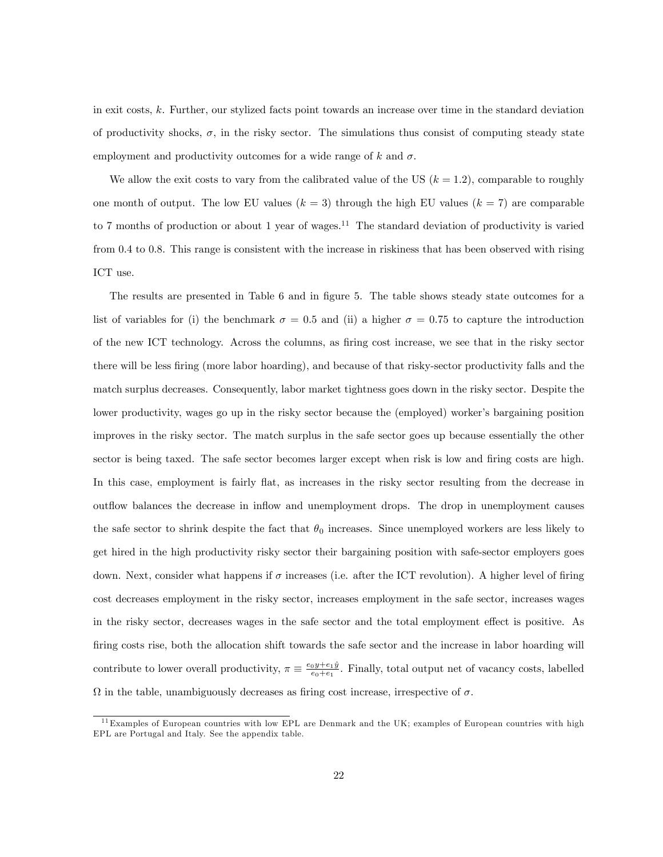in exit costs, k. Further, our stylized facts point towards an increase over time in the standard deviation of productivity shocks,  $\sigma$ , in the risky sector. The simulations thus consist of computing steady state employment and productivity outcomes for a wide range of k and  $\sigma$ .

We allow the exit costs to vary from the calibrated value of the US  $(k = 1.2)$ , comparable to roughly one month of output. The low EU values  $(k = 3)$  through the high EU values  $(k = 7)$  are comparable to 7 months of production or about 1 year of wages.<sup>11</sup> The standard deviation of productivity is varied from 0.4 to 0.8. This range is consistent with the increase in riskiness that has been observed with rising ICT use.

The results are presented in Table 6 and in figure 5. The table shows steady state outcomes for a list of variables for (i) the benchmark  $\sigma = 0.5$  and (ii) a higher  $\sigma = 0.75$  to capture the introduction of the new ICT technology. Across the columns, as Öring cost increase, we see that in the risky sector there will be less firing (more labor hoarding), and because of that risky-sector productivity falls and the match surplus decreases. Consequently, labor market tightness goes down in the risky sector. Despite the lower productivity, wages go up in the risky sector because the (employed) worker's bargaining position improves in the risky sector. The match surplus in the safe sector goes up because essentially the other sector is being taxed. The safe sector becomes larger except when risk is low and firing costs are high. In this case, employment is fairly flat, as increases in the risky sector resulting from the decrease in outflow balances the decrease in inflow and unemployment drops. The drop in unemployment causes the safe sector to shrink despite the fact that  $\theta_0$  increases. Since unemployed workers are less likely to get hired in the high productivity risky sector their bargaining position with safe-sector employers goes down. Next, consider what happens if  $\sigma$  increases (i.e. after the ICT revolution). A higher level of firing cost decreases employment in the risky sector, increases employment in the safe sector, increases wages in the risky sector, decreases wages in the safe sector and the total employment effect is positive. As firing costs rise, both the allocation shift towards the safe sector and the increase in labor hoarding will contribute to lower overall productivity,  $\pi \equiv \frac{e_0 y + e_1 \hat{y}}{e_0 + e_1}$ . Finally, total output net of vacancy costs, labelled  $\Omega$  in the table, unambiguously decreases as firing cost increase, irrespective of  $\sigma$ .

<sup>&</sup>lt;sup>11</sup>Examples of European countries with low EPL are Denmark and the UK; examples of European countries with high EPL are Portugal and Italy. See the appendix table.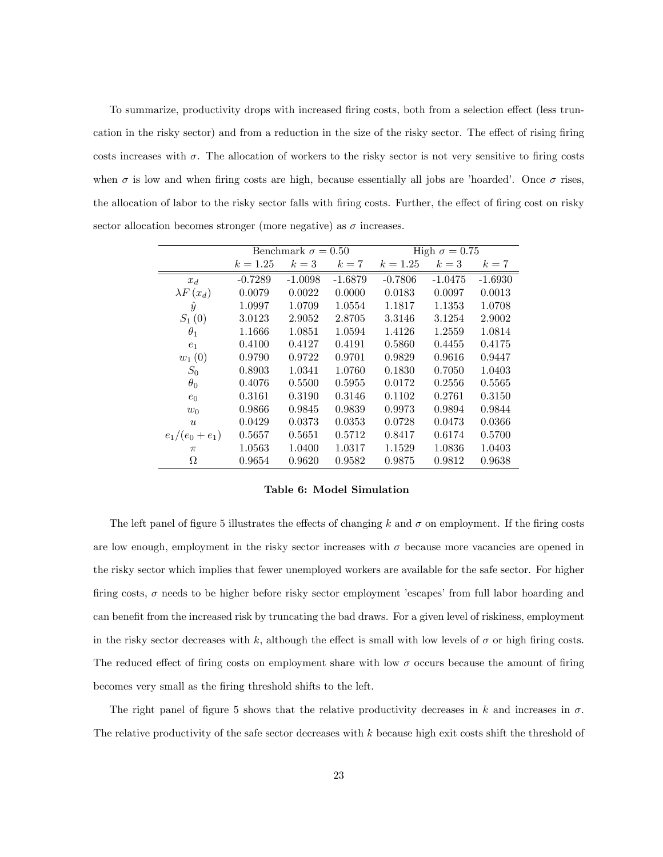To summarize, productivity drops with increased firing costs, both from a selection effect (less truncation in the risky sector) and from a reduction in the size of the risky sector. The effect of rising firing costs increases with  $\sigma$ . The allocation of workers to the risky sector is not very sensitive to firing costs when  $\sigma$  is low and when firing costs are high, because essentially all jobs are 'hoarded'. Once  $\sigma$  rises, the allocation of labor to the risky sector falls with firing costs. Further, the effect of firing cost on risky sector allocation becomes stronger (more negative) as  $\sigma$  increases.

|                  |            | Benchmark $\sigma = 0.50$ |           | High $\sigma = 0.75$ |           |           |  |  |
|------------------|------------|---------------------------|-----------|----------------------|-----------|-----------|--|--|
|                  | $k = 1.25$ | $k=3$                     | $k=7$     | $k = 1.25$           | $k=3$     | $k=7$     |  |  |
| $x_d$            | $-0.7289$  | $-1.0098$                 | $-1.6879$ | $-0.7806$            | $-1.0475$ | $-1.6930$ |  |  |
| $\lambda F(x_d)$ | 0.0079     | 0.0022                    | 0.0000    | 0.0183               | 0.0097    | 0.0013    |  |  |
| $\hat{y}$        | 1.0997     | 1.0709                    | 1.0554    | 1.1817               | 1.1353    | 1.0708    |  |  |
| $S_1(0)$         | 3.0123     | 2.9052                    | 2.8705    | 3.3146               | 3.1254    | 2.9002    |  |  |
| $\theta_1$       | 1.1666     | 1.0851                    | 1.0594    | 1.4126               | 1.2559    | 1.0814    |  |  |
| $e_1$            | 0.4100     | 0.4127                    | 0.4191    | 0.5860               | 0.4455    | 0.4175    |  |  |
| $w_1(0)$         | 0.9790     | 0.9722                    | 0.9701    | 0.9829               | 0.9616    | 0.9447    |  |  |
| $S_0$            | 0.8903     | 1.0341                    | 1.0760    | 0.1830               | 0.7050    | 1.0403    |  |  |
| $\theta_0$       | 0.4076     | 0.5500                    | 0.5955    | 0.0172               | 0.2556    | 0.5565    |  |  |
| $e_0$            | 0.3161     | 0.3190                    | 0.3146    | 0.1102               | 0.2761    | 0.3150    |  |  |
| $w_0$            | 0.9866     | 0.9845                    | 0.9839    | 0.9973               | 0.9894    | 0.9844    |  |  |
| $\boldsymbol{u}$ | 0.0429     | 0.0373                    | 0.0353    | 0.0728               | 0.0473    | 0.0366    |  |  |
| $e_1/(e_0+e_1)$  | 0.5657     | 0.5651                    | 0.5712    | 0.8417               | 0.6174    | 0.5700    |  |  |
| $\pi$            | 1.0563     | 1.0400                    | 1.0317    | 1.1529               | 1.0836    | 1.0403    |  |  |
| Ω                | 0.9654     | 0.9620                    | 0.9582    | 0.9875               | 0.9812    | 0.9638    |  |  |

Table 6: Model Simulation

The left panel of figure 5 illustrates the effects of changing k and  $\sigma$  on employment. If the firing costs are low enough, employment in the risky sector increases with  $\sigma$  because more vacancies are opened in the risky sector which implies that fewer unemployed workers are available for the safe sector. For higher firing costs,  $\sigma$  needs to be higher before risky sector employment 'escapes' from full labor hoarding and can benefit from the increased risk by truncating the bad draws. For a given level of riskiness, employment in the risky sector decreases with k, although the effect is small with low levels of  $\sigma$  or high firing costs. The reduced effect of firing costs on employment share with low  $\sigma$  occurs because the amount of firing becomes very small as the Öring threshold shifts to the left.

The right panel of figure 5 shows that the relative productivity decreases in k and increases in  $\sigma$ . The relative productivity of the safe sector decreases with k because high exit costs shift the threshold of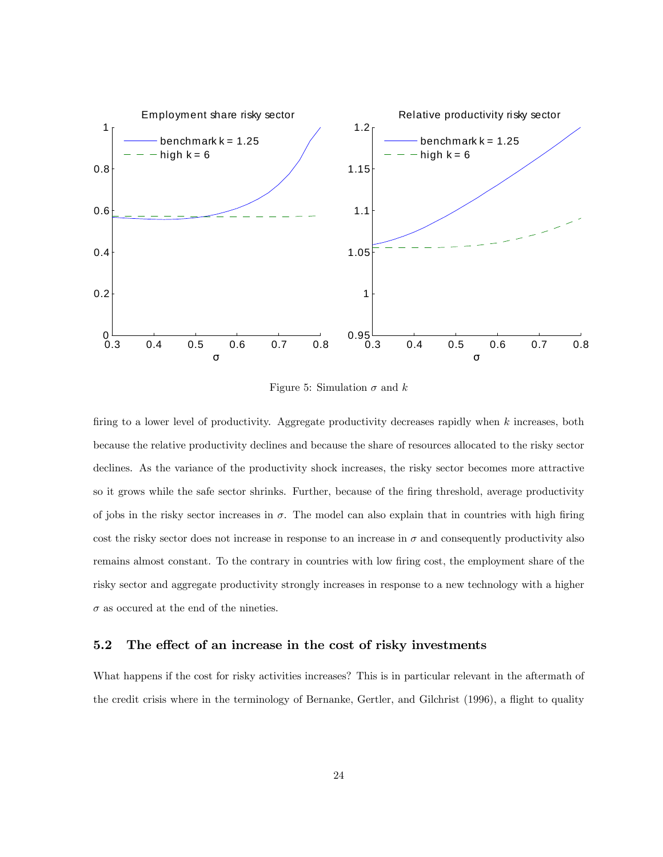

Figure 5: Simulation  $\sigma$  and  $k$ 

firing to a lower level of productivity. Aggregate productivity decreases rapidly when  $k$  increases, both because the relative productivity declines and because the share of resources allocated to the risky sector declines. As the variance of the productivity shock increases, the risky sector becomes more attractive so it grows while the safe sector shrinks. Further, because of the firing threshold, average productivity of jobs in the risky sector increases in  $\sigma$ . The model can also explain that in countries with high firing cost the risky sector does not increase in response to an increase in  $\sigma$  and consequently productivity also remains almost constant. To the contrary in countries with low firing cost, the employment share of the risky sector and aggregate productivity strongly increases in response to a new technology with a higher  $\sigma$  as occured at the end of the nineties.

#### 5.2 The effect of an increase in the cost of risky investments

What happens if the cost for risky activities increases? This is in particular relevant in the aftermath of the credit crisis where in the terminology of Bernanke, Gertler, and Gilchrist (1996), a áight to quality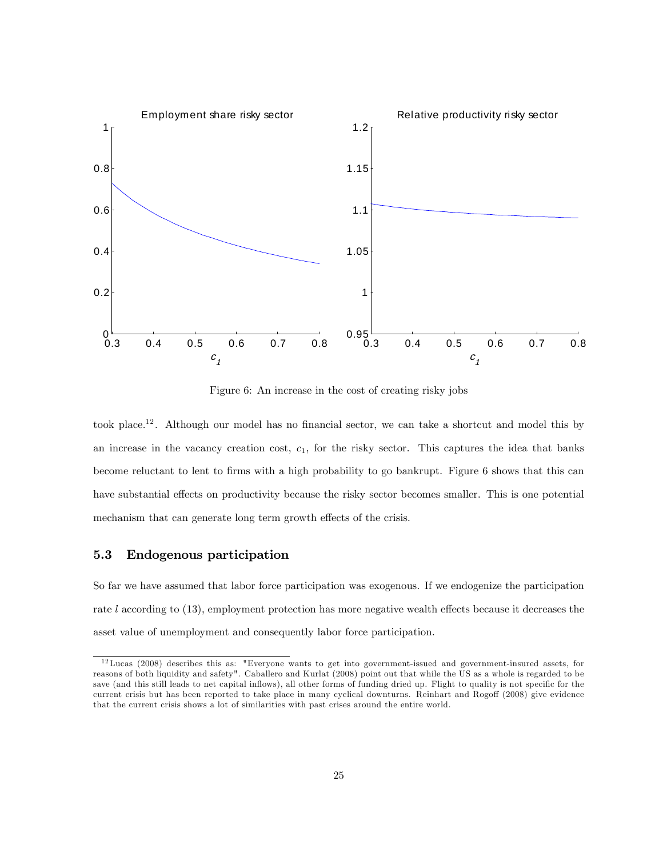

Figure 6: An increase in the cost of creating risky jobs

took place.<sup>12</sup>. Although our model has no financial sector, we can take a shortcut and model this by an increase in the vacancy creation cost,  $c<sub>1</sub>$ , for the risky sector. This captures the idea that banks become reluctant to lent to Örms with a high probability to go bankrupt. Figure 6 shows that this can have substantial effects on productivity because the risky sector becomes smaller. This is one potential mechanism that can generate long term growth effects of the crisis.

### 5.3 Endogenous participation

So far we have assumed that labor force participation was exogenous. If we endogenize the participation rate  $l$  according to  $(13)$ , employment protection has more negative wealth effects because it decreases the asset value of unemployment and consequently labor force participation.

<sup>12</sup>Lucas (2008) describes this as: "Everyone wants to get into government-issued and government-insured assets, for reasons of both liquidity and safety". Caballero and Kurlat (2008) point out that while the US as a whole is regarded to be save (and this still leads to net capital inflows), all other forms of funding dried up. Flight to quality is not specific for the current crisis but has been reported to take place in many cyclical downturns. Reinhart and Rogoff (2008) give evidence that the current crisis shows a lot of similarities with past crises around the entire world.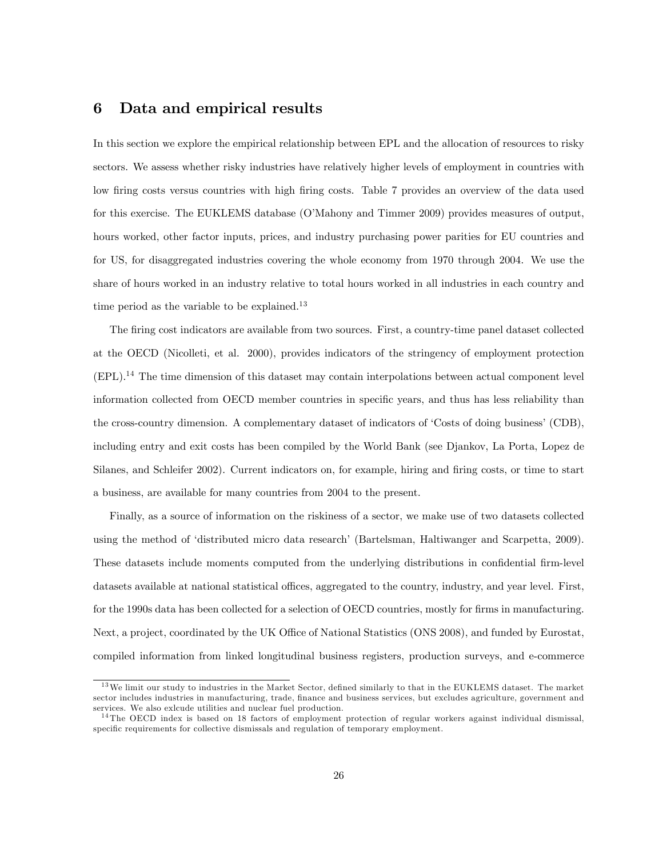### 6 Data and empirical results

In this section we explore the empirical relationship between EPL and the allocation of resources to risky sectors. We assess whether risky industries have relatively higher levels of employment in countries with low firing costs versus countries with high firing costs. Table 7 provides an overview of the data used for this exercise. The EUKLEMS database (O'Mahony and Timmer 2009) provides measures of output, hours worked, other factor inputs, prices, and industry purchasing power parities for EU countries and for US, for disaggregated industries covering the whole economy from 1970 through 2004. We use the share of hours worked in an industry relative to total hours worked in all industries in each country and time period as the variable to be explained.<sup>13</sup>

The firing cost indicators are available from two sources. First, a country-time panel dataset collected at the OECD (Nicolleti, et al. 2000), provides indicators of the stringency of employment protection  $(EPL).<sup>14</sup>$  The time dimension of this dataset may contain interpolations between actual component level information collected from OECD member countries in specific years, and thus has less reliability than the cross-country dimension. A complementary dataset of indicators of 'Costs of doing business' (CDB), including entry and exit costs has been compiled by the World Bank (see Djankov, La Porta, Lopez de Silanes, and Schleifer 2002). Current indicators on, for example, hiring and firing costs, or time to start a business, are available for many countries from 2004 to the present.

Finally, as a source of information on the riskiness of a sector, we make use of two datasets collected using the method of 'distributed micro data research' (Bartelsman, Haltiwanger and Scarpetta, 2009). These datasets include moments computed from the underlying distributions in confidential firm-level datasets available at national statistical offices, aggregated to the country, industry, and year level. First, for the 1990s data has been collected for a selection of OECD countries, mostly for firms in manufacturing. Next, a project, coordinated by the UK Office of National Statistics (ONS 2008), and funded by Eurostat, compiled information from linked longitudinal business registers, production surveys, and e-commerce

<sup>&</sup>lt;sup>13</sup>We limit our study to industries in the Market Sector, defined similarly to that in the EUKLEMS dataset. The market sector includes industries in manufacturing, trade, finance and business services, but excludes agriculture, government and services. We also exlcude utilities and nuclear fuel production.

<sup>14</sup> The OECD index is based on 18 factors of employment protection of regular workers against individual dismissal, specific requirements for collective dismissals and regulation of temporary employment.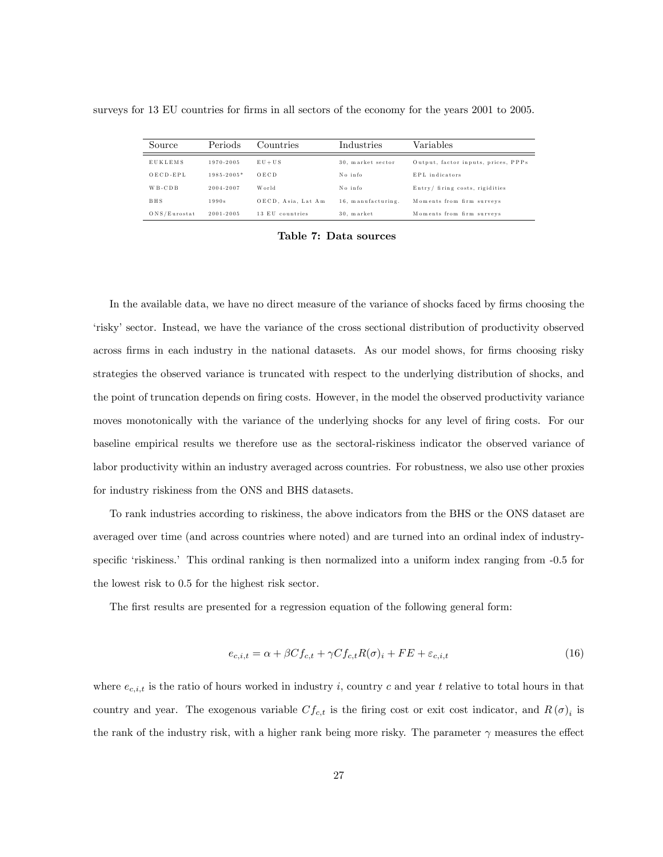| surveys for 13 EU countries for firms in all sectors of the economy for the years 2001 to 2005. |  |
|-------------------------------------------------------------------------------------------------|--|
|-------------------------------------------------------------------------------------------------|--|

| Source         | Periods        | Countries          | Industries         | Variables                           |
|----------------|----------------|--------------------|--------------------|-------------------------------------|
| <b>EUKLEMS</b> | 1970-2005      | $EU + US$          | 30. market sector  | Output, factor inputs, prices, PPPs |
| $OECD-EPL$     | $1985 - 2005*$ | OECD.              | No info            | EPL indicators                      |
| $W B - C D B$  | 2004-2007      | World              | No info            | Entry/ firing costs, rigidities     |
| BHS            | 1990s          | OECD, Asia, Lat Am | 16, manufacturing. | Moments from firm surveys           |
| ONS/Eurostat   | 2001-2005      | 13 EU countries    | 30. market         | Moments from firm surveys           |

Table 7: Data sources

In the available data, we have no direct measure of the variance of shocks faced by firms choosing the ëriskyísector. Instead, we have the variance of the cross sectional distribution of productivity observed across firms in each industry in the national datasets. As our model shows, for firms choosing risky strategies the observed variance is truncated with respect to the underlying distribution of shocks, and the point of truncation depends on firing costs. However, in the model the observed productivity variance moves monotonically with the variance of the underlying shocks for any level of firing costs. For our baseline empirical results we therefore use as the sectoral-riskiness indicator the observed variance of labor productivity within an industry averaged across countries. For robustness, we also use other proxies for industry riskiness from the ONS and BHS datasets.

To rank industries according to riskiness, the above indicators from the BHS or the ONS dataset are averaged over time (and across countries where noted) and are turned into an ordinal index of industryspecific 'riskiness.' This ordinal ranking is then normalized into a uniform index ranging from -0.5 for the lowest risk to 0.5 for the highest risk sector.

The first results are presented for a regression equation of the following general form:

$$
e_{c,i,t} = \alpha + \beta C f_{c,t} + \gamma C f_{c,t} R(\sigma)_i + FE + \varepsilon_{c,i,t}
$$
\n
$$
(16)
$$

where  $e_{c,i,t}$  is the ratio of hours worked in industry i, country c and year t relative to total hours in that country and year. The exogenous variable  $Cf_{c,t}$  is the firing cost or exit cost indicator, and  $R(\sigma)_i$  is the rank of the industry risk, with a higher rank being more risky. The parameter  $\gamma$  measures the effect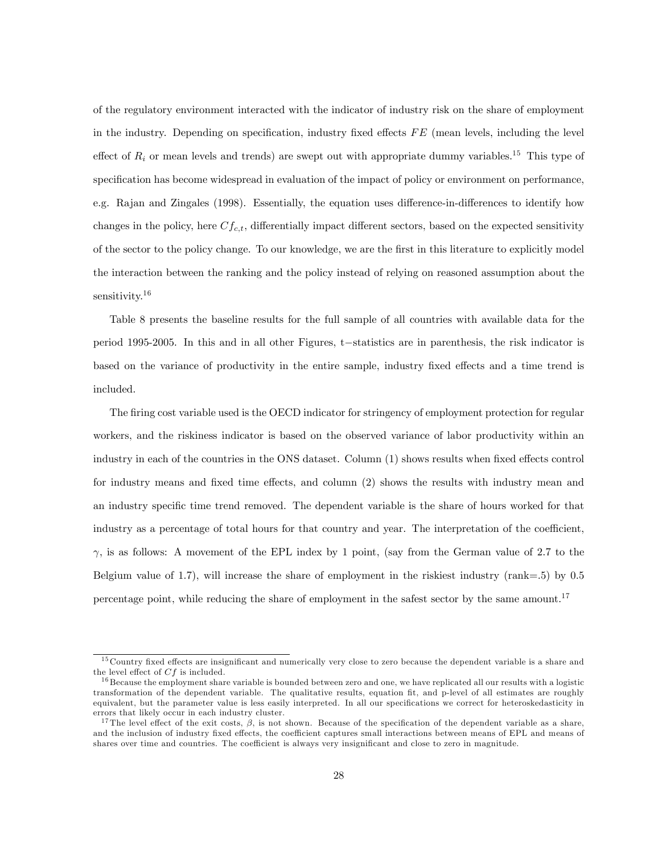of the regulatory environment interacted with the indicator of industry risk on the share of employment in the industry. Depending on specification, industry fixed effects  $FE$  (mean levels, including the level effect of  $R_i$  or mean levels and trends) are swept out with appropriate dummy variables.<sup>15</sup> This type of specification has become widespread in evaluation of the impact of policy or environment on performance, e.g. Rajan and Zingales (1998). Essentially, the equation uses difference-in-differences to identify how changes in the policy, here  $C_{f,c,t}$ , differentially impact different sectors, based on the expected sensitivity of the sector to the policy change. To our knowledge, we are the Örst in this literature to explicitly model the interaction between the ranking and the policy instead of relying on reasoned assumption about the sensitivity.<sup>16</sup>

Table 8 presents the baseline results for the full sample of all countries with available data for the period 1995-2005. In this and in all other Figures, t-statistics are in parenthesis, the risk indicator is based on the variance of productivity in the entire sample, industry fixed effects and a time trend is included.

The firing cost variable used is the OECD indicator for stringency of employment protection for regular workers, and the riskiness indicator is based on the observed variance of labor productivity within an industry in each of the countries in the ONS dataset. Column (1) shows results when fixed effects control for industry means and fixed time effects, and column (2) shows the results with industry mean and an industry specific time trend removed. The dependent variable is the share of hours worked for that industry as a percentage of total hours for that country and year. The interpretation of the coefficient,  $\gamma$ , is as follows: A movement of the EPL index by 1 point, (say from the German value of 2.7 to the Belgium value of 1.7), will increase the share of employment in the riskiest industry (rank=.5) by 0.5 percentage point, while reducing the share of employment in the safest sector by the same amount.<sup>17</sup>

 $15$  Country fixed effects are insignificant and numerically very close to zero because the dependent variable is a share and the level effect of  $Cf$  is included.

 $^{16}$ Because the employment share variable is bounded between zero and one, we have replicated all our results with a logistic transformation of the dependent variable. The qualitative results, equation Öt, and p-level of all estimates are roughly equivalent, but the parameter value is less easily interpreted. In all our specifications we correct for heteroskedasticity in errors that likely occur in each industry cluster.

<sup>&</sup>lt;sup>17</sup>The level effect of the exit costs,  $\beta$ , is not shown. Because of the specification of the dependent variable as a share, and the inclusion of industry fixed effects, the coefficient captures small interactions between means of EPL and means of shares over time and countries. The coefficient is always very insignificant and close to zero in magnitude.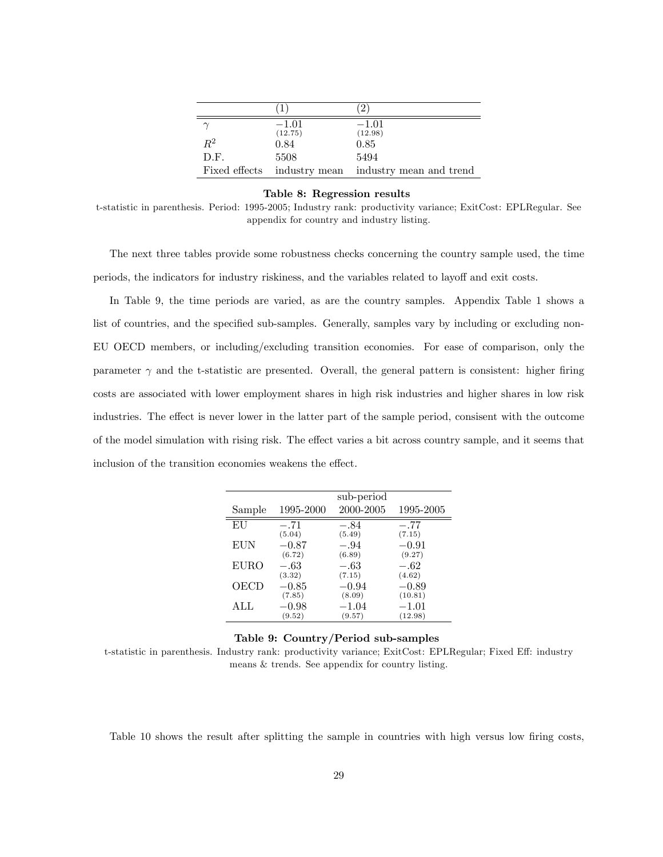|               |                    | 21                                    |
|---------------|--------------------|---------------------------------------|
|               | $-1.01$<br>(12.75) | $-1.01$<br>(12.98)                    |
| $R^2$         | 0.84               | 0.85                                  |
| D.F.          | 5508               | 5494                                  |
| Fixed effects |                    | industry mean industry mean and trend |

Table 8: Regression results

t-statistic in parenthesis. Period: 1995-2005; Industry rank: productivity variance; ExitCost: EPLRegular. See appendix for country and industry listing.

The next three tables provide some robustness checks concerning the country sample used, the time periods, the indicators for industry riskiness, and the variables related to layoff and exit costs.

In Table 9, the time periods are varied, as are the country samples. Appendix Table 1 shows a list of countries, and the specified sub-samples. Generally, samples vary by including or excluding non-EU OECD members, or including/excluding transition economies. For ease of comparison, only the parameter  $\gamma$  and the t-statistic are presented. Overall, the general pattern is consistent: higher firing costs are associated with lower employment shares in high risk industries and higher shares in low risk industries. The effect is never lower in the latter part of the sample period, consisent with the outcome of the model simulation with rising risk. The effect varies a bit across country sample, and it seems that inclusion of the transition economies weakens the effect.

|             |           | sub-period |           |
|-------------|-----------|------------|-----------|
| Sample      | 1995-2000 | 2000-2005  | 1995-2005 |
| EU          | $-.71$    | $-.84$     | $-.77$    |
|             | (5.04)    | (5.49)     | (7.15)    |
| EUN         | $-0.87$   | $-.94$     | $-0.91$   |
|             | (6.72)    | (6.89)     | (9.27)    |
| <b>EURO</b> | $-.63$    | $-.63$     | $-.62$    |
|             | (3.32)    | (7.15)     | (4.62)    |
| OECD        | $-0.85$   | $-0.94$    | $-0.89$   |
|             | (7.85)    | (8.09)     | (10.81)   |
| ALL         | $-0.98$   | $-1.04\,$  | $-1.01$   |
|             | (9.52)    | (9.57)     | (12.98)   |

#### Table 9: Country/Period sub-samples

t-statistic in parenthesis. Industry rank: productivity variance; ExitCost: EPLRegular; Fixed Eff: industry means & trends. See appendix for country listing.

Table 10 shows the result after splitting the sample in countries with high versus low firing costs,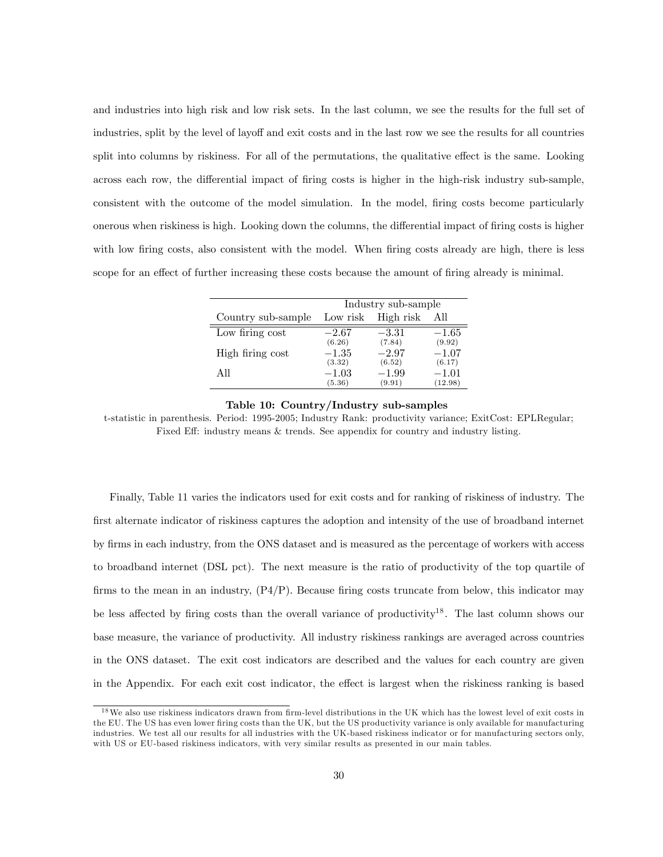and industries into high risk and low risk sets. In the last column, we see the results for the full set of industries, split by the level of layoff and exit costs and in the last row we see the results for all countries split into columns by riskiness. For all of the permutations, the qualitative effect is the same. Looking across each row, the differential impact of firing costs is higher in the high-risk industry sub-sample, consistent with the outcome of the model simulation. In the model, firing costs become particularly onerous when riskiness is high. Looking down the columns, the differential impact of firing costs is higher with low firing costs, also consistent with the model. When firing costs already are high, there is less scope for an effect of further increasing these costs because the amount of firing already is minimal.

|                    | Industry sub-sample |                   |                   |  |  |  |  |
|--------------------|---------------------|-------------------|-------------------|--|--|--|--|
| Country sub-sample | Low risk            | High risk         | All               |  |  |  |  |
| Low firing cost    | $-2.67$<br>(6.26)   | $-3.31$<br>(7.84) | $-1.65$<br>(9.92) |  |  |  |  |
| High firing cost   | $-1.35$             | $-2.97$           | $-1.07$           |  |  |  |  |
| All                | (3.32)<br>$-1.03$   | (6.52)<br>$-1.99$ | (6.17)<br>$-1.01$ |  |  |  |  |
|                    | (5.36)              | (9.91)            | (12.98)           |  |  |  |  |

#### Table 10: Country/Industry sub-samples

t-statistic in parenthesis. Period: 1995-2005; Industry Rank: productivity variance; ExitCost: EPLRegular; Fixed Eff: industry means  $\&$  trends. See appendix for country and industry listing.

Finally, Table 11 varies the indicators used for exit costs and for ranking of riskiness of industry. The first alternate indicator of riskiness captures the adoption and intensity of the use of broadband internet by Örms in each industry, from the ONS dataset and is measured as the percentage of workers with access to broadband internet (DSL pct). The next measure is the ratio of productivity of the top quartile of firms to the mean in an industry,  $(P4/P)$ . Because firing costs truncate from below, this indicator may be less affected by firing costs than the overall variance of productivity<sup>18</sup>. The last column shows our base measure, the variance of productivity. All industry riskiness rankings are averaged across countries in the ONS dataset. The exit cost indicators are described and the values for each country are given in the Appendix. For each exit cost indicator, the effect is largest when the riskiness ranking is based

 $18$ We also use riskiness indicators drawn from firm-level distributions in the UK which has the lowest level of exit costs in the EU. The US has even lower firing costs than the UK, but the US productivity variance is only available for manufacturing industries. We test all our results for all industries with the UK-based riskiness indicator or for manufacturing sectors only, with US or EU-based riskiness indicators, with very similar results as presented in our main tables.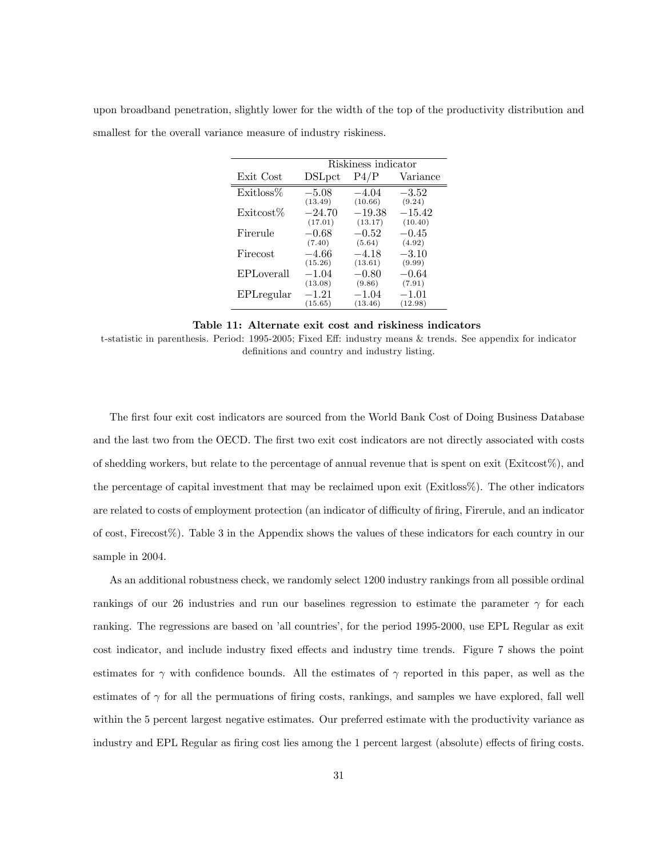|  | upon broadband penetration, slightly lower for the width of the top of the productivity distribution and |  |  |  |  |  |
|--|----------------------------------------------------------------------------------------------------------|--|--|--|--|--|
|  | smallest for the overall variance measure of industry riskiness.                                         |  |  |  |  |  |

|            | Riskiness indicator |                     |                    |
|------------|---------------------|---------------------|--------------------|
| Exit Cost  | <b>DSL</b> pct      | P4/P                | Variance           |
| Existloss% | $-5.08$             | $-4.04$             | $-3.52$            |
| Exitcost%  | (13.49)<br>$-24.70$ | (10.66)<br>$-19.38$ | (9.24)<br>$-15.42$ |
| Firerule   | (17.01)<br>$-0.68$  | (13.17)<br>$-0.52$  | (10.40)<br>$-0.45$ |
|            | (7.40)              | (5.64)              | (4.92)             |
| Firecost   | $-4.66$<br>(15.26)  | $-4.18$<br>(13.61)  | $-3.10$<br>(9.99)  |
| EPLoverall | $-1.04$             | $-0.80$             | $-0.64$            |
| EPLregular | (13.08)<br>$-1.21$  | (9.86)<br>$-1.04$   | (7.91)<br>$-1.01$  |
|            | (15.65)             | (13.46)             | (12.98)            |

Table 11: Alternate exit cost and riskiness indicators

t-statistic in parenthesis. Period: 1995-2005; Fixed Eff: industry means & trends. See appendix for indicator definitions and country and industry listing.

The first four exit cost indicators are sourced from the World Bank Cost of Doing Business Database and the last two from the OECD. The first two exit cost indicators are not directly associated with costs of shedding workers, but relate to the percentage of annual revenue that is spent on exit (Exitcost%), and the percentage of capital investment that may be reclaimed upon exit (Exitloss%). The other indicators are related to costs of employment protection (an indicator of difficulty of firing, Firerule, and an indicator of cost, Firecost%). Table 3 in the Appendix shows the values of these indicators for each country in our sample in 2004.

As an additional robustness check, we randomly select 1200 industry rankings from all possible ordinal rankings of our 26 industries and run our baselines regression to estimate the parameter  $\gamma$  for each ranking. The regressions are based on 'all countries', for the period 1995-2000, use EPL Regular as exit cost indicator, and include industry fixed effects and industry time trends. Figure 7 shows the point estimates for  $\gamma$  with confidence bounds. All the estimates of  $\gamma$  reported in this paper, as well as the estimates of  $\gamma$  for all the permuations of firing costs, rankings, and samples we have explored, fall well within the 5 percent largest negative estimates. Our preferred estimate with the productivity variance as industry and EPL Regular as firing cost lies among the 1 percent largest (absolute) effects of firing costs.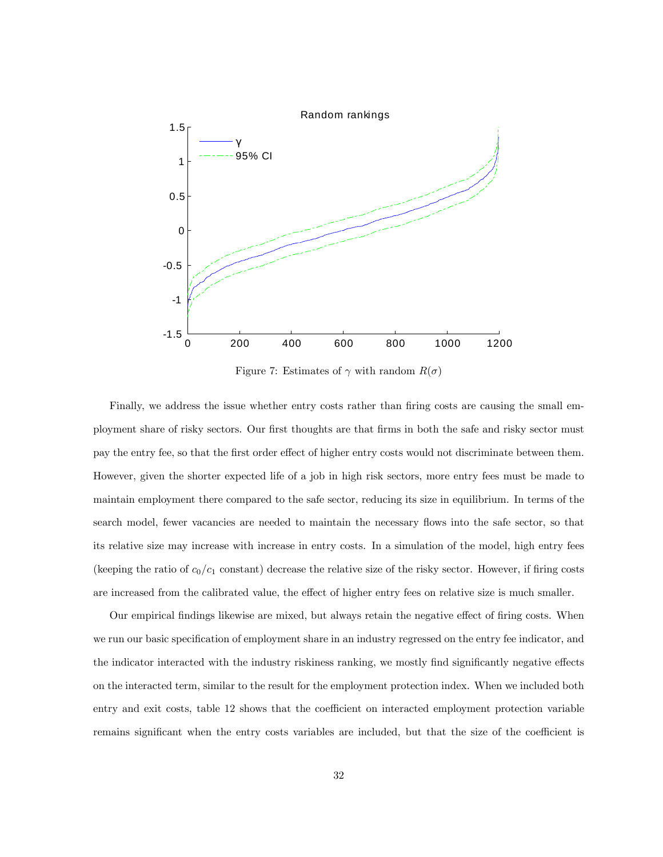

Figure 7: Estimates of  $\gamma$  with random  $R(\sigma)$ 

Finally, we address the issue whether entry costs rather than firing costs are causing the small employment share of risky sectors. Our first thoughts are that firms in both the safe and risky sector must pay the entry fee, so that the first order effect of higher entry costs would not discriminate between them. However, given the shorter expected life of a job in high risk sectors, more entry fees must be made to maintain employment there compared to the safe sector, reducing its size in equilibrium. In terms of the search model, fewer vacancies are needed to maintain the necessary flows into the safe sector, so that its relative size may increase with increase in entry costs. In a simulation of the model, high entry fees (keeping the ratio of  $c_0/c_1$  constant) decrease the relative size of the risky sector. However, if firing costs are increased from the calibrated value, the effect of higher entry fees on relative size is much smaller.

Our empirical findings likewise are mixed, but always retain the negative effect of firing costs. When we run our basic specification of employment share in an industry regressed on the entry fee indicator, and the indicator interacted with the industry riskiness ranking, we mostly find significantly negative effects on the interacted term, similar to the result for the employment protection index. When we included both entry and exit costs, table 12 shows that the coefficient on interacted employment protection variable remains significant when the entry costs variables are included, but that the size of the coefficient is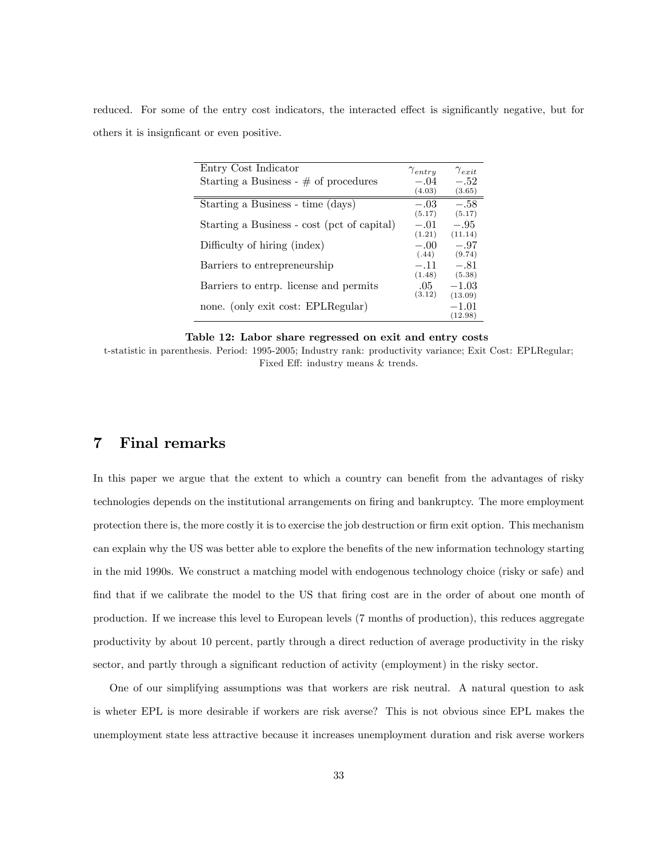reduced. For some of the entry cost indicators, the interacted effect is significantly negative, but for others it is insignificant or even positive.

| Entry Cost Indicator                        | $\gamma_{entry}$ | $\gamma_{exit}$  |
|---------------------------------------------|------------------|------------------|
| Starting a Business - $\#$ of procedures    | $-.04$<br>(4.03) | $-.52$<br>(3.65) |
|                                             |                  |                  |
| Starting a Business - time (days)           | $-.03$<br>(5.17) | $-.58$<br>(5.17) |
| Starting a Business - cost (pct of capital) | $-.01$           | $-.95$           |
|                                             | (1.21)           | (11.14)          |
| Difficulty of hiring (index)                | $-.00$<br>(.44)  | $-.97$<br>(9.74) |
| Barriers to entrepreneurship                | $-.11$           | $-.81$           |
|                                             | (1.48)           | (5.38)           |
| Barriers to entrp. license and permits      | .05              | $-1.03$          |
|                                             | (3.12)           | (13.09)          |
| none. (only exit cost: EPLRegular)          |                  | $-1.01$          |
|                                             |                  | (12.98)          |

Table 12: Labor share regressed on exit and entry costs

t-statistic in parenthesis. Period: 1995-2005; Industry rank: productivity variance; Exit Cost: EPLRegular; Fixed Eff: industry means & trends.

### 7 Final remarks

In this paper we argue that the extent to which a country can benefit from the advantages of risky technologies depends on the institutional arrangements on firing and bankruptcy. The more employment protection there is, the more costly it is to exercise the job destruction or firm exit option. This mechanism can explain why the US was better able to explore the benefits of the new information technology starting in the mid 1990s. We construct a matching model with endogenous technology choice (risky or safe) and find that if we calibrate the model to the US that firing cost are in the order of about one month of production. If we increase this level to European levels (7 months of production), this reduces aggregate productivity by about 10 percent, partly through a direct reduction of average productivity in the risky sector, and partly through a significant reduction of activity (employment) in the risky sector.

One of our simplifying assumptions was that workers are risk neutral. A natural question to ask is wheter EPL is more desirable if workers are risk averse? This is not obvious since EPL makes the unemployment state less attractive because it increases unemployment duration and risk averse workers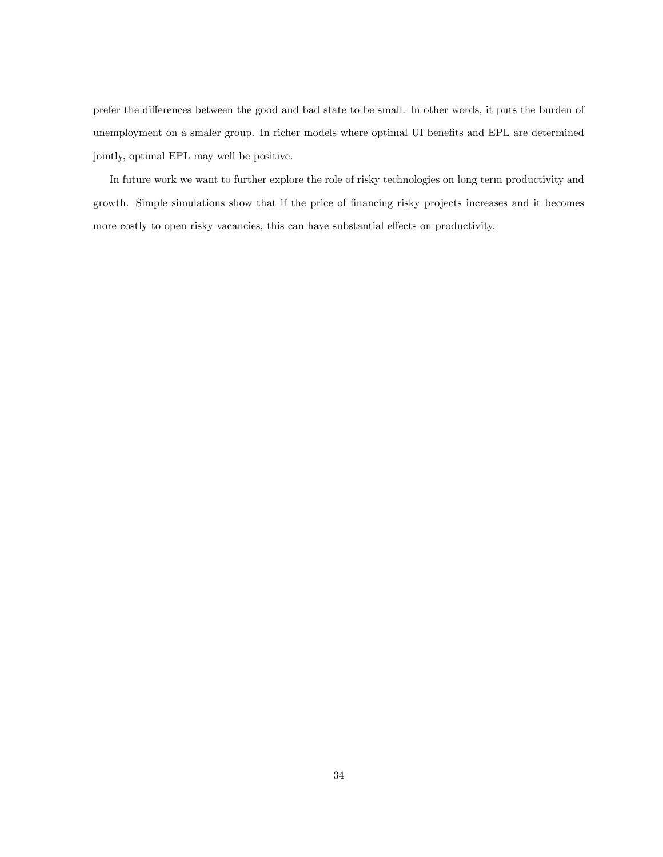prefer the differences between the good and bad state to be small. In other words, it puts the burden of unemployment on a smaler group. In richer models where optimal UI benefits and EPL are determined jointly, optimal EPL may well be positive.

In future work we want to further explore the role of risky technologies on long term productivity and growth. Simple simulations show that if the price of financing risky projects increases and it becomes more costly to open risky vacancies, this can have substantial effects on productivity.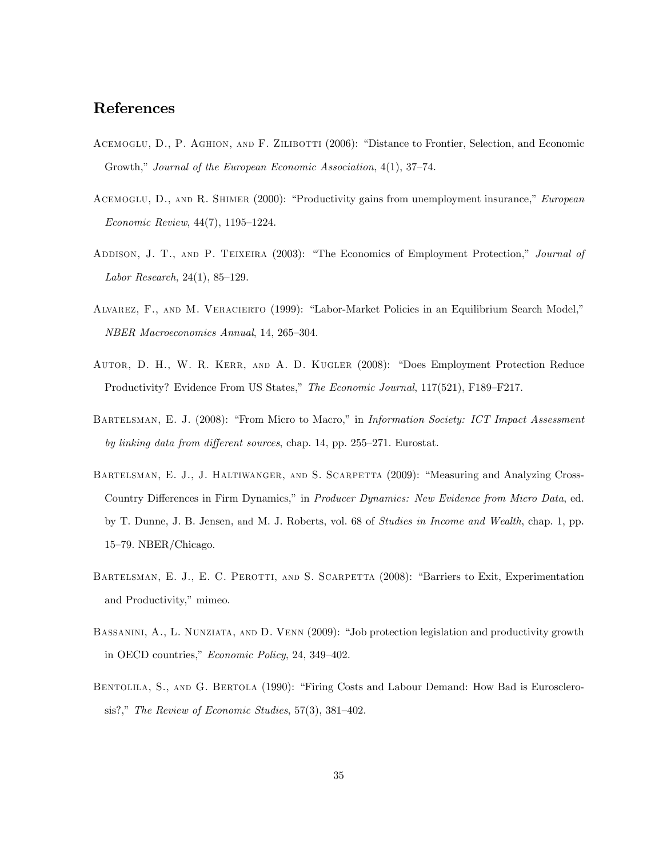### References

- ACEMOGLU, D., P. AGHION, AND F. ZILIBOTTI (2006): "Distance to Frontier, Selection, and Economic Growth," Journal of the European Economic Association,  $4(1)$ ,  $37-74$ .
- ACEMOGLU, D., AND R. SHIMER (2000): "Productivity gains from unemployment insurance," European  $Economic Review, 44(7), 1195-1224.$
- ADDISON, J. T., AND P. TEIXEIRA (2003): "The Economics of Employment Protection," Journal of Labor Research,  $24(1)$ ,  $85-129$ .
- ALVAREZ, F., AND M. VERACIERTO (1999): "Labor-Market Policies in an Equilibrium Search Model," NBER Macroeconomics Annual, 14, 265-304.
- AUTOR, D. H., W. R. KERR, AND A. D. KUGLER (2008): "Does Employment Protection Reduce Productivity? Evidence From US States," The Economic Journal, 117(521), F189–F217.
- BARTELSMAN, E. J. (2008): "From Micro to Macro," in *Information Society: ICT Impact Assessment* by linking data from different sources, chap. 14, pp. 255–271. Eurostat.
- BARTELSMAN, E. J., J. HALTIWANGER, AND S. SCARPETTA (2009): "Measuring and Analyzing Cross-Country Differences in Firm Dynamics," in Producer Dynamics: New Evidence from Micro Data, ed. by T. Dunne, J. B. Jensen, and M. J. Roberts, vol. 68 of Studies in Income and Wealth, chap. 1, pp.  $15-79.$  NBER/Chicago.
- BARTELSMAN, E. J., E. C. PEROTTI, AND S. SCARPETTA (2008): "Barriers to Exit, Experimentation and Productivity," mimeo.
- BASSANINI, A., L. NUNZIATA, AND D. VENN (2009): "Job protection legislation and productivity growth in OECD countries,"  $Economic Policy, 24, 349-402.$
- BENTOLILA, S., AND G. BERTOLA (1990): "Firing Costs and Labour Demand: How Bad is Eurosclerosis?," The Review of Economic Studies,  $57(3)$ ,  $381-402$ .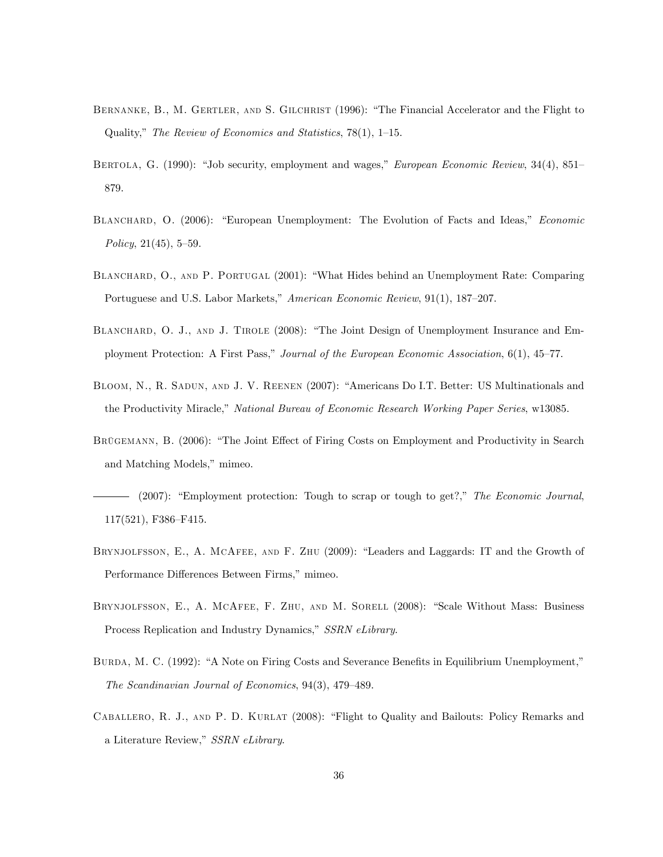- BERNANKE, B., M. GERTLER, AND S. GILCHRIST (1996): "The Financial Accelerator and the Flight to Quality," The Review of Economics and Statistics, 78(1), 1–15.
- BERTOLA, G. (1990): "Job security, employment and wages," *European Economic Review*, 34(4), 851– 879.
- BLANCHARD, O. (2006): "European Unemployment: The Evolution of Facts and Ideas," Economic Policy,  $21(45)$ , 5-59.
- BLANCHARD, O., AND P. PORTUGAL (2001): "What Hides behind an Unemployment Rate: Comparing Portuguese and U.S. Labor Markets," American Economic Review, 91(1), 187–207.
- BLANCHARD, O. J., AND J. TIROLE (2008): "The Joint Design of Unemployment Insurance and Employment Protection: A First Pass," Journal of the European Economic Association, 6(1), 45–77.
- BLOOM, N., R. SADUN, AND J. V. REENEN (2007): "Americans Do I.T. Better: US Multinationals and the Productivity Miracle," National Bureau of Economic Research Working Paper Series, w13085.
- BRÜGEMANN, B. (2006): "The Joint Effect of Firing Costs on Employment and Productivity in Search and Matching Models," mimeo.
- $-$  (2007): "Employment protection: Tough to scrap or tough to get?," The Economic Journal,  $117(521)$ , F386-F415.
- BRYNJOLFSSON, E., A. MCAFEE, AND F. ZHU (2009): "Leaders and Laggards: IT and the Growth of Performance Differences Between Firms," mimeo.
- BRYNJOLFSSON, E., A. MCAFEE, F. ZHU, AND M. SORELL (2008): "Scale Without Mass: Business Process Replication and Industry Dynamics," SSRN eLibrary.
- BURDA, M. C. (1992): "A Note on Firing Costs and Severance Benefits in Equilibrium Unemployment," The Scandinavian Journal of Economics,  $94(3)$ ,  $479-489$ .
- CABALLERO, R. J., AND P. D. KURLAT (2008): "Flight to Quality and Bailouts: Policy Remarks and a Literature Review," SSRN eLibrary.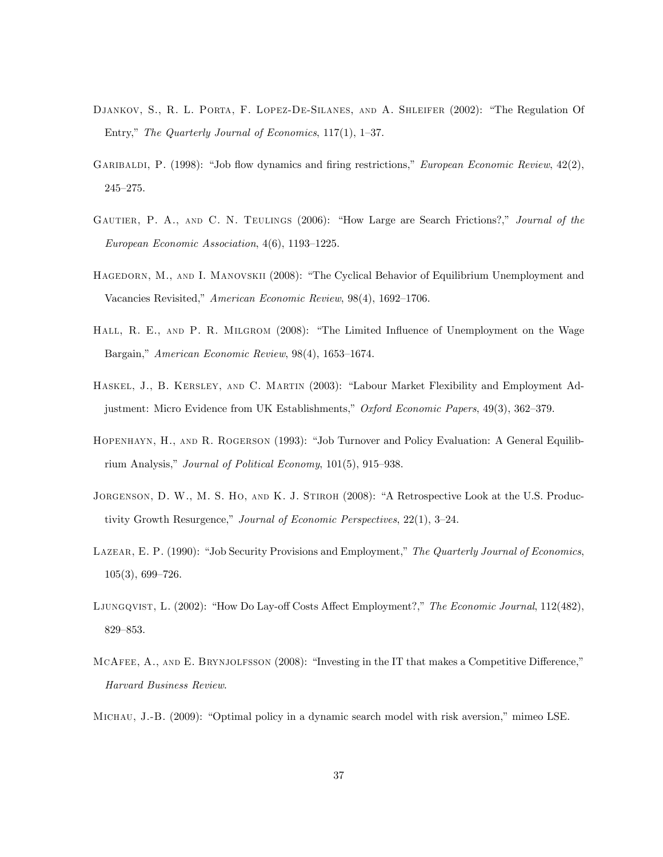- DJANKOV, S., R. L. PORTA, F. LOPEZ-DE-SILANES, AND A. SHLEIFER (2002): "The Regulation Of Entry," The Quarterly Journal of Economics,  $117(1)$ ,  $1-37$ .
- GARIBALDI, P. (1998): "Job flow dynamics and firing restrictions," European Economic Review,  $42(2)$ ,  $245 - 275.$
- GAUTIER, P. A., AND C. N. TEULINGS (2006): "How Large are Search Frictions?," Journal of the European Economic Association,  $4(6)$ , 1193-1225.
- HAGEDORN, M., AND I. MANOVSKII (2008): "The Cyclical Behavior of Equilibrium Unemployment and Vacancies Revisited," American Economic Review, 98(4), 1692-1706.
- HALL, R. E., AND P. R. MILGROM (2008): "The Limited Influence of Unemployment on the Wage Bargain," American Economic Review,  $98(4)$ , 1653–1674.
- HASKEL, J., B. KERSLEY, AND C. MARTIN (2003): "Labour Market Flexibility and Employment Adjustment: Micro Evidence from UK Establishments," Oxford Economic Papers, 49(3), 362–379.
- HOPENHAYN, H., AND R. ROGERSON (1993): "Job Turnover and Policy Evaluation: A General Equilibrium Analysis," Journal of Political Economy,  $101(5)$ ,  $915-938$ .
- JORGENSON, D. W., M. S. HO, AND K. J. STIROH (2008): "A Retrospective Look at the U.S. Productivity Growth Resurgence," Journal of Economic Perspectives,  $22(1)$ ,  $3-24$ .
- LAZEAR, E. P. (1990): "Job Security Provisions and Employment," The Quarterly Journal of Economics,  $105(3)$ , 699-726.
- LJUNGQVIST, L. (2002): "How Do Lay-off Costs Affect Employment?," The Economic Journal, 112(482), 829-853.
- MCAFEE, A., AND E. BRYNJOLFSSON  $(2008)$ : "Investing in the IT that makes a Competitive Difference," Harvard Business Review.

MICHAU, J.-B. (2009): "Optimal policy in a dynamic search model with risk aversion," mimeo LSE.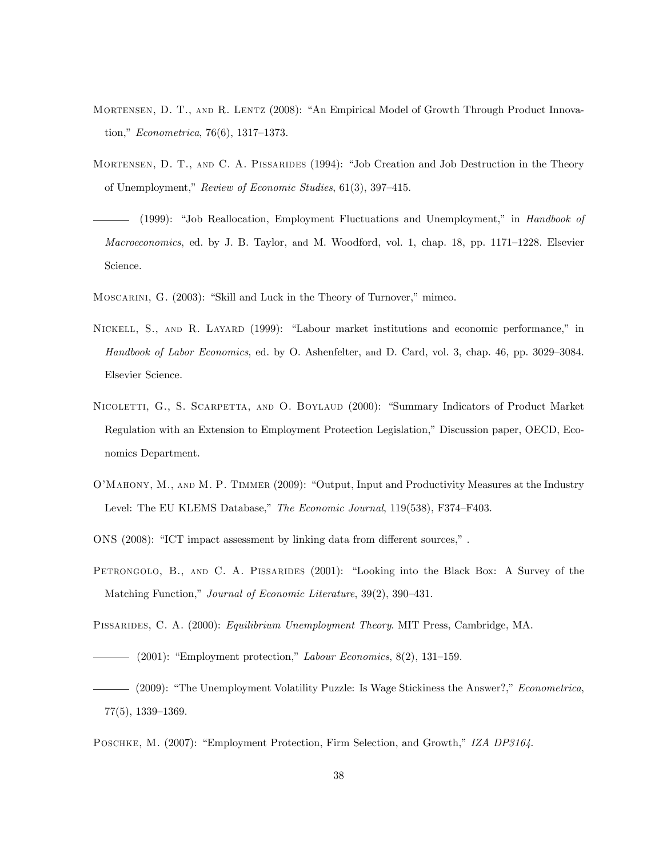- MORTENSEN, D. T., AND R. LENTZ (2008): "An Empirical Model of Growth Through Product Innovation,"  $Econometrica, 76(6), 1317-1373.$
- MORTENSEN, D. T., AND C. A. PISSARIDES (1994): "Job Creation and Job Destruction in the Theory of Unemployment," Review of Economic Studies, 61(3), 397-415.
- (1999): "Job Reallocation, Employment Fluctuations and Unemployment," in Handbook of Macroeconomics, ed. by J. B. Taylor, and M. Woodford, vol. 1, chap. 18, pp. 1171–1228. Elsevier Science.
- MOSCARINI, G. (2003): "Skill and Luck in the Theory of Turnover," mimeo.
- NICKELL, S., AND R. LAYARD (1999): "Labour market institutions and economic performance," in Handbook of Labor Economics, ed. by O. Ashenfelter, and D. Card, vol. 3, chap. 46, pp. 3029–3084. Elsevier Science.
- NICOLETTI, G., S. SCARPETTA, AND O. BOYLAUD (2000): "Summary Indicators of Product Market Regulation with an Extension to Employment Protection Legislation," Discussion paper, OECD, Economics Department.
- O'MAHONY, M., AND M. P. TIMMER (2009): "Output, Input and Productivity Measures at the Industry Level: The EU KLEMS Database," The Economic Journal, 119(538), F374–F403.
- ONS  $(2008)$ : "ICT impact assessment by linking data from different sources,".
- PETRONGOLO, B., AND C. A. PISSARIDES (2001): "Looking into the Black Box: A Survey of the Matching Function," Journal of Economic Literature, 39(2), 390-431.
- Pissarides, C. A. (2000): Equilibrium Unemployment Theory. MIT Press, Cambridge, MA.
	- (2001): "Employment protection," Labour Economics,  $8(2)$ , 131–159.
- (2009): "The Unemployment Volatility Puzzle: Is Wage Stickiness the Answer?," Econometrica,  $77(5)$ ,  $1339-1369$ .
- POSCHKE, M. (2007): "Employment Protection, Firm Selection, and Growth," IZA DP3164.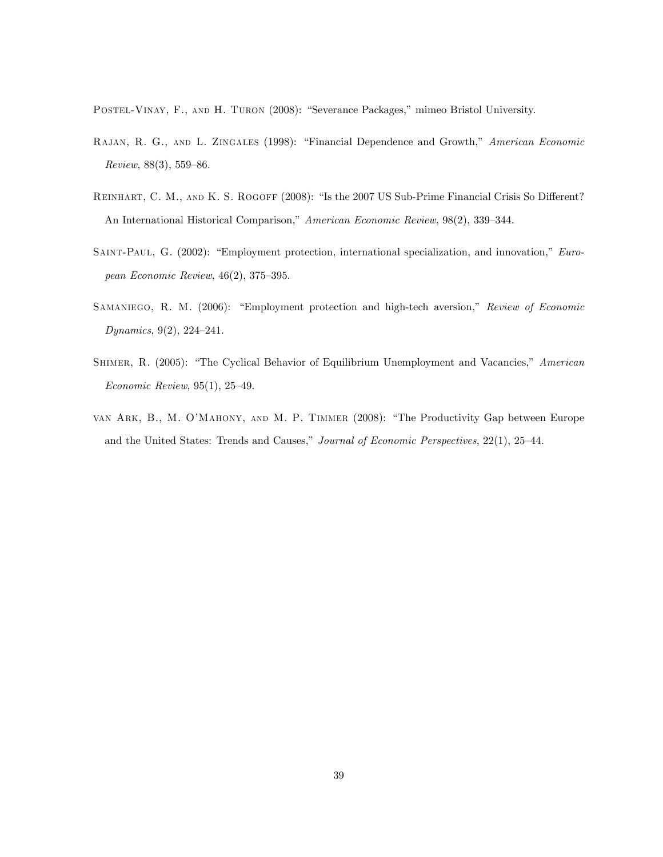POSTEL-VINAY, F., AND H. TURON (2008): "Severance Packages," mimeo Bristol University.

- RAJAN, R. G., AND L. ZINGALES (1998): "Financial Dependence and Growth," American Economic Review,  $88(3)$ , 559–86.
- REINHART, C. M., AND K. S. ROGOFF (2008): "Is the 2007 US Sub-Prime Financial Crisis So Different? An International Historical Comparison," American Economic Review, 98(2), 339-344.
- SAINT-PAUL, G. (2002): "Employment protection, international specialization, and innovation," European Economic Review,  $46(2)$ ,  $375-395$ .
- SAMANIEGO, R. M. (2006): "Employment protection and high-tech aversion," Review of Economic Dynamics,  $9(2)$ ,  $224-241$ .
- SHIMER, R. (2005): "The Cyclical Behavior of Equilibrium Unemployment and Vacancies," American Economic Review,  $95(1)$ ,  $25-49$ .
- VAN ARK, B., M. O'MAHONY, AND M. P. TIMMER (2008): "The Productivity Gap between Europe and the United States: Trends and Causes," Journal of Economic Perspectives, 22(1), 25-44.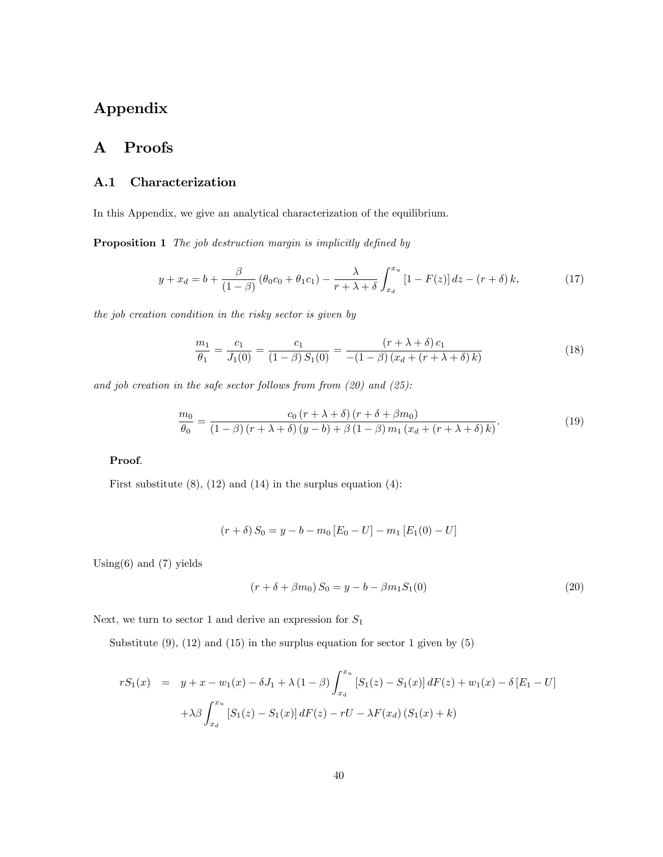# Appendix

# A Proofs

### A.1 Characterization

In this Appendix, we give an analytical characterization of the equilibrium.

Proposition 1 The job destruction margin is implicitly defined by

$$
y + x_d = b + \frac{\beta}{(1 - \beta)} (\theta_0 c_0 + \theta_1 c_1) - \frac{\lambda}{r + \lambda + \delta} \int_{x_d}^{x_u} [1 - F(z)] dz - (r + \delta) k,
$$
 (17)

the job creation condition in the risky sector is given by

$$
\frac{m_1}{\theta_1} = \frac{c_1}{J_1(0)} = \frac{c_1}{(1-\beta)S_1(0)} = \frac{(r+\lambda+\delta)c_1}{-(1-\beta)(x_d+(r+\lambda+\delta)k)}
$$
(18)

and job creation in the safe sector follows from from  $(20)$  and  $(25)$ :

$$
\frac{m_0}{\theta_0} = \frac{c_0 (r + \lambda + \delta) (r + \delta + \beta m_0)}{(1 - \beta) (r + \lambda + \delta) (y - b) + \beta (1 - \beta) m_1 (x_d + (r + \lambda + \delta) k)}.
$$
(19)

#### Proof.

First substitute  $(8)$ ,  $(12)$  and  $(14)$  in the surplus equation  $(4)$ :

$$
(r+\delta) S_0 = y - b - m_0 [E_0 - U] - m_1 [E_1(0) - U]
$$

Using $(6)$  and  $(7)$  yields

$$
(r + \delta + \beta m_0) S_0 = y - b - \beta m_1 S_1(0)
$$
\n(20)

Next, we turn to sector 1 and derive an expression for  $S_1$ 

Substitute  $(9)$ ,  $(12)$  and  $(15)$  in the surplus equation for sector 1 given by  $(5)$ 

$$
rS_1(x) = y + x - w_1(x) - \delta J_1 + \lambda (1 - \beta) \int_{x_d}^{x_u} [S_1(z) - S_1(x)] dF(z) + w_1(x) - \delta [E_1 - U]
$$

$$
+ \lambda \beta \int_{x_d}^{x_u} [S_1(z) - S_1(x)] dF(z) - rU - \lambda F(x_d) (S_1(x) + k)
$$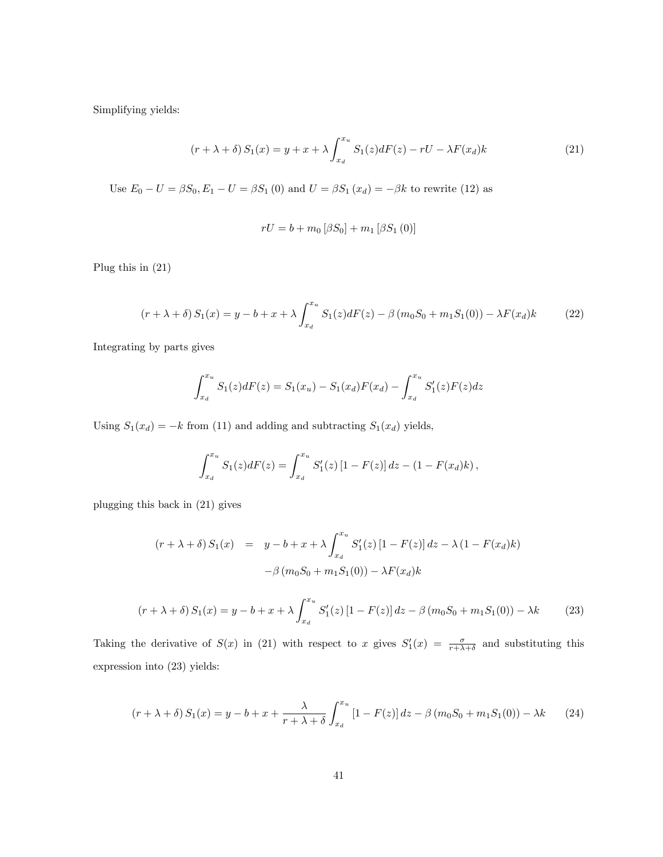Simplifying yields:

$$
(r + \lambda + \delta) S_1(x) = y + x + \lambda \int_{x_d}^{x_u} S_1(z) dF(z) - rU - \lambda F(x_d)k
$$
\n(21)

Use  $E_0 - U = \beta S_0, E_1 - U = \beta S_1 (0)$  and  $U = \beta S_1 (x_d) = -\beta k$  to rewrite (12) as

$$
rU = b + m_0 [\beta S_0] + m_1 [\beta S_1 (0)]
$$

Plug this in (21)

$$
(r + \lambda + \delta) S_1(x) = y - b + x + \lambda \int_{x_d}^{x_u} S_1(z) dF(z) - \beta (m_0 S_0 + m_1 S_1(0)) - \lambda F(x_d) k \tag{22}
$$

Integrating by parts gives

$$
\int_{x_d}^{x_u} S_1(z) dF(z) = S_1(x_u) - S_1(x_d) F(x_d) - \int_{x_d}^{x_u} S'_1(z) F(z) dz
$$

Using  $S_1(x_d) = -k$  from (11) and adding and subtracting  $S_1(x_d)$  yields,

$$
\int_{x_d}^{x_u} S_1(z) dF(z) = \int_{x_d}^{x_u} S'_1(z) [1 - F(z)] dz - (1 - F(x_d)k),
$$

plugging this back in (21) gives

$$
(r + \lambda + \delta) S_1(x) = y - b + x + \lambda \int_{x_d}^{x_u} S'_1(z) [1 - F(z)] dz - \lambda (1 - F(x_d)k)
$$

$$
- \beta (m_0 S_0 + m_1 S_1(0)) - \lambda F(x_d)k
$$

$$
(r + \lambda + \delta) S_1(x) = y - b + x + \lambda \int_{x_d}^{x_u} S_1'(z) [1 - F(z)] dz - \beta (m_0 S_0 + m_1 S_1(0)) - \lambda k \tag{23}
$$

Taking the derivative of  $S(x)$  in (21) with respect to x gives  $S'_1(x) = \frac{\sigma}{r + \lambda + \delta}$  and substituting this expression into (23) yields:

$$
(r + \lambda + \delta) S_1(x) = y - b + x + \frac{\lambda}{r + \lambda + \delta} \int_{x_d}^{x_u} [1 - F(z)] dz - \beta (m_0 S_0 + m_1 S_1(0)) - \lambda k \tag{24}
$$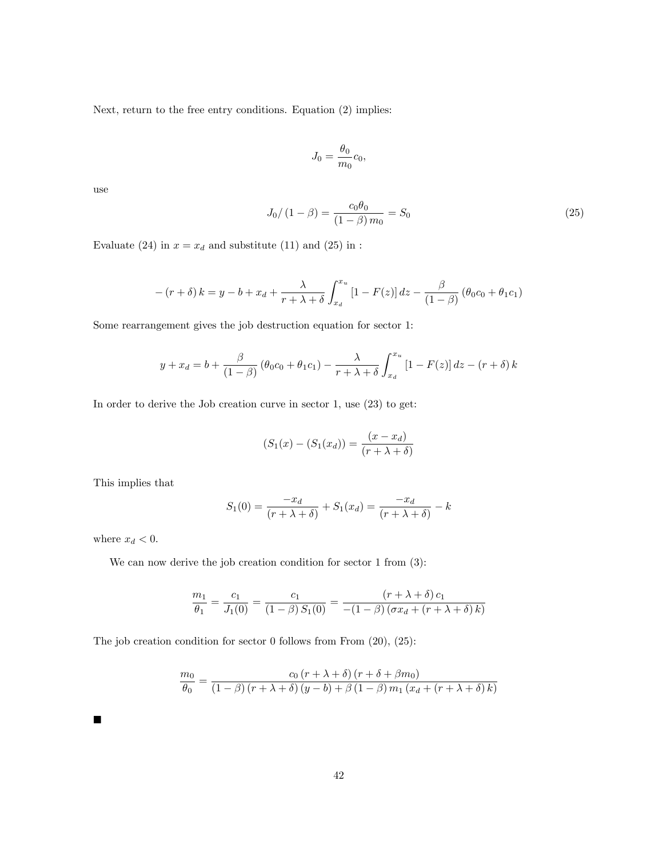Next, return to the free entry conditions. Equation (2) implies:

$$
J_0 = \frac{\theta_0}{m_0} c_0,
$$

use

$$
J_0/(1 - \beta) = \frac{c_0 \theta_0}{(1 - \beta) m_0} = S_0
$$
\n(25)

Evaluate (24) in  $x = x_d$  and substitute (11) and (25) in :

$$
-(r+\delta) k = y - b + x_d + \frac{\lambda}{r + \lambda + \delta} \int_{x_d}^{x_u} [1 - F(z)] dz - \frac{\beta}{(1 - \beta)} (\theta_0 c_0 + \theta_1 c_1)
$$

Some rearrangement gives the job destruction equation for sector 1:

$$
y + x_d = b + \frac{\beta}{(1 - \beta)} (\theta_0 c_0 + \theta_1 c_1) - \frac{\lambda}{r + \lambda + \delta} \int_{x_d}^{x_u} [1 - F(z)] dz - (r + \delta) k
$$

In order to derive the Job creation curve in sector 1, use (23) to get:

$$
(S_1(x) - (S_1(x_d)) = \frac{(x - x_d)}{(r + \lambda + \delta)}
$$

This implies that

$$
S_1(0) = \frac{-x_d}{(r + \lambda + \delta)} + S_1(x_d) = \frac{-x_d}{(r + \lambda + \delta)} - k
$$

where  $x_d < 0$ .

We can now derive the job creation condition for sector 1 from  $(3)$ :

$$
\frac{m_1}{\theta_1} = \frac{c_1}{J_1(0)} = \frac{c_1}{(1-\beta) S_1(0)} = \frac{(r+\lambda+\delta) c_1}{-(1-\beta) (\sigma x_d + (r+\lambda+\delta) k)}
$$

The job creation condition for sector 0 follows from From  $(20)$ ,  $(25)$ :

$$
\frac{m_0}{\theta_0} = \frac{c_0 (r + \lambda + \delta) (r + \delta + \beta m_0)}{(1 - \beta) (r + \lambda + \delta) (y - b) + \beta (1 - \beta) m_1 (x_d + (r + \lambda + \delta) k)}
$$

 $\blacksquare$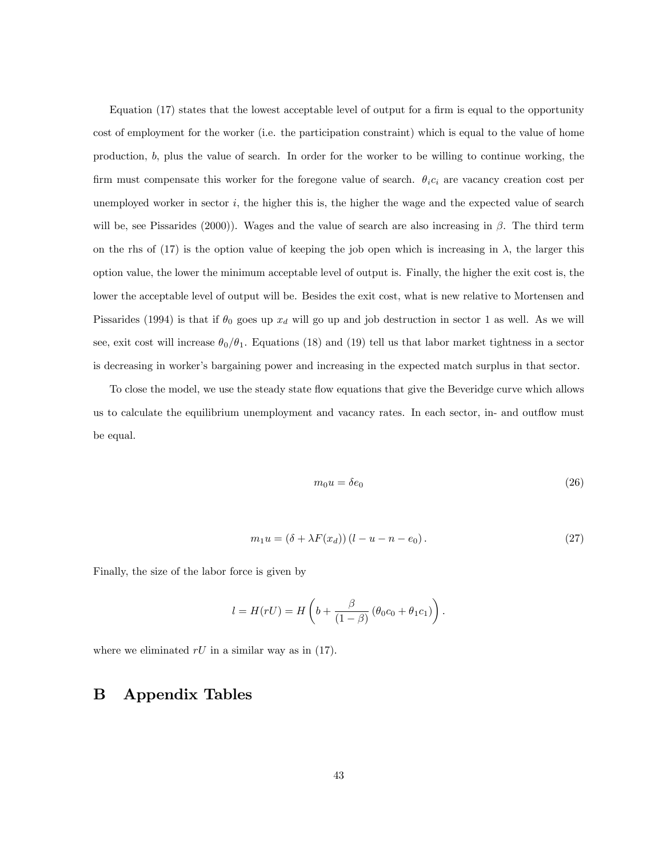Equation  $(17)$  states that the lowest acceptable level of output for a firm is equal to the opportunity cost of employment for the worker (i.e. the participation constraint) which is equal to the value of home production, b, plus the value of search. In order for the worker to be willing to continue working, the firm must compensate this worker for the foregone value of search.  $\theta_i c_i$  are vacancy creation cost per unemployed worker in sector  $i$ , the higher this is, the higher the wage and the expected value of search will be, see Pissarides (2000)). Wages and the value of search are also increasing in  $\beta$ . The third term on the rhs of (17) is the option value of keeping the job open which is increasing in  $\lambda$ , the larger this option value, the lower the minimum acceptable level of output is. Finally, the higher the exit cost is, the lower the acceptable level of output will be. Besides the exit cost, what is new relative to Mortensen and Pissarides (1994) is that if  $\theta_0$  goes up  $x_d$  will go up and job destruction in sector 1 as well. As we will see, exit cost will increase  $\theta_0/\theta_1$ . Equations (18) and (19) tell us that labor market tightness in a sector is decreasing in worker's bargaining power and increasing in the expected match surplus in that sector.

To close the model, we use the steady state flow equations that give the Beveridge curve which allows us to calculate the equilibrium unemployment and vacancy rates. In each sector, in- and outflow must be equal.

$$
m_0 u = \delta e_0 \tag{26}
$$

$$
m_1 u = (\delta + \lambda F(x_d))(l - u - n - e_0).
$$
\n
$$
(27)
$$

Finally, the size of the labor force is given by

$$
l = H(rU) = H\left(b + \frac{\beta}{(1-\beta)}\left(\theta_0c_0 + \theta_1c_1\right)\right).
$$

where we eliminated  $rU$  in a similar way as in (17).

### B Appendix Tables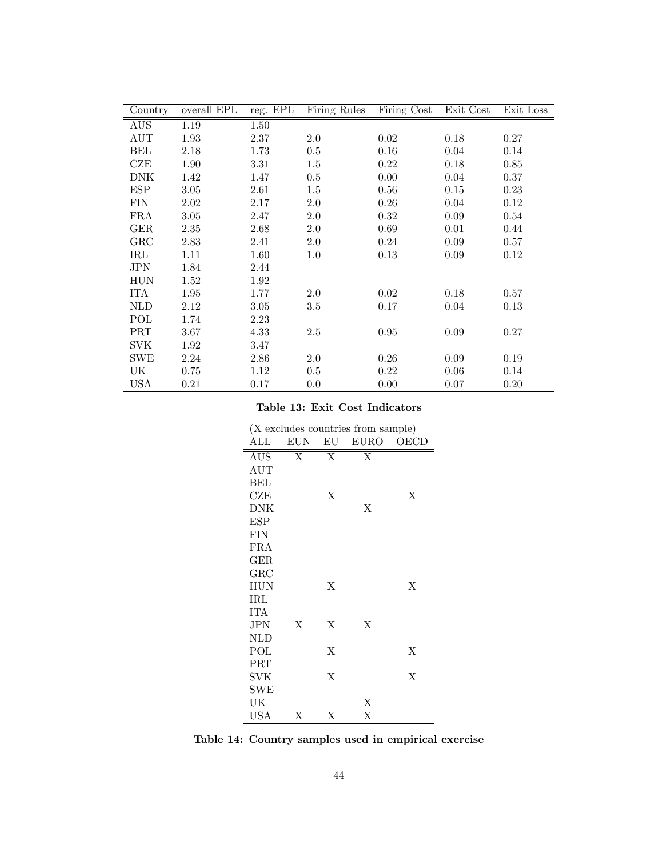| Country    | overall EPL | reg. EPL | Firing Rules | Firing Cost | Exit Cost | Exit Loss |
|------------|-------------|----------|--------------|-------------|-----------|-----------|
| AUS        | 1.19        | 1.50     |              |             |           |           |
| AUT        | 1.93        | 2.37     | $2.0\,$      | 0.02        | 0.18      | 0.27      |
| BEL        | 2.18        | 1.73     | $0.5\,$      | 0.16        | 0.04      | 0.14      |
| CZE        | 1.90        | 3.31     | $1.5\,$      | 0.22        | 0.18      | 0.85      |
| DNK        | 1.42        | 1.47     | $0.5\,$      | 0.00        | 0.04      | 0.37      |
| ESP        | 3.05        | 2.61     | $1.5\,$      | 0.56        | 0.15      | 0.23      |
| <b>FIN</b> | 2.02        | 2.17     | $2.0\,$      | 0.26        | 0.04      | 0.12      |
| FRA        | 3.05        | 2.47     | $2.0\,$      | 0.32        | 0.09      | 0.54      |
| $\rm GER$  | 2.35        | 2.68     | $2.0\,$      | 0.69        | 0.01      | 0.44      |
| GRC        | 2.83        | 2.41     | $2.0\,$      | 0.24        | 0.09      | 0.57      |
| IRL        | 1.11        | 1.60     | $1.0\,$      | 0.13        | 0.09      | 0.12      |
| JPN        | 1.84        | 2.44     |              |             |           |           |
| <b>HUN</b> | 1.52        | 1.92     |              |             |           |           |
| ITA        | 1.95        | 1.77     | 2.0          | 0.02        | 0.18      | 0.57      |
| NLD        | 2.12        | 3.05     | $3.5\,$      | 0.17        | 0.04      | 0.13      |
| POL        | 1.74        | 2.23     |              |             |           |           |
| <b>PRT</b> | 3.67        | 4.33     | 2.5          | $0.95\,$    | 0.09      | 0.27      |
| SVK        | 1.92        | 3.47     |              |             |           |           |
| SWE        | 2.24        | 2.86     | $2.0\,$      | 0.26        | 0.09      | 0.19      |
| UK         | 0.75        | 1.12     | $0.5\,$      | 0.22        | 0.06      | 0.14      |
| <b>USA</b> | 0.21        | 0.17     | 0.0          | 0.00        | 0.07      | 0.20      |

Table 13: Exit Cost Indicators

| (X excludes countries from sample) |                |                   |             |      |
|------------------------------------|----------------|-------------------|-------------|------|
| ALL                                | EUN            | $\mathop{\rm EU}$ | <b>EURO</b> | OECD |
| <b>AUS</b>                         | $\overline{X}$ | $\overline{X}$    | X           |      |
| AUT                                |                |                   |             |      |
| BEL                                |                |                   |             |      |
| CZE                                |                | X                 |             | Χ    |
| DNK                                |                |                   | Χ           |      |
| <b>ESP</b>                         |                |                   |             |      |
| <b>FIN</b>                         |                |                   |             |      |
| FRA                                |                |                   |             |      |
| <b>GER</b>                         |                |                   |             |      |
| GRC                                |                |                   |             |      |
| <b>HUN</b>                         |                | Χ                 |             | X    |
| IRL                                |                |                   |             |      |
| ITA                                |                |                   |             |      |
| JPN                                | X              | X                 | X           |      |
| <b>NLD</b>                         |                |                   |             |      |
| POL                                |                | X                 |             | X    |
| PRT                                |                |                   |             |      |
| SVK                                |                | X                 |             | Χ    |
| ${\rm SWE}$                        |                |                   |             |      |
| UK                                 |                |                   | Χ           |      |
| USA                                | Χ              | Χ                 | X           |      |

Table 14: Country samples used in empirical exercise